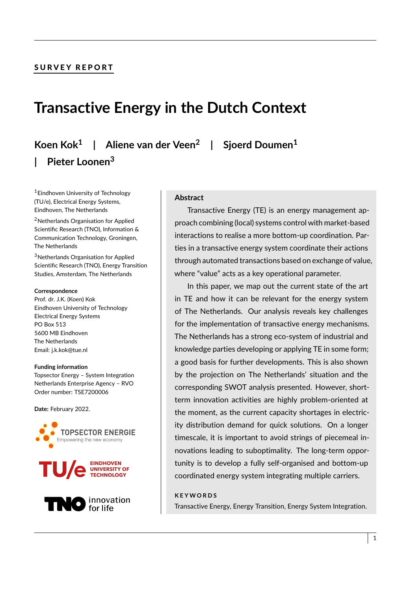# SURVEY REPORT

# **Transactive Energy in the Dutch Context**

**Koen Kok<sup>1</sup> | Aliene van der Veen<sup>2</sup> | Sjoerd Doumen<sup>1</sup> | Pieter Loonen<sup>3</sup>**

<sup>1</sup>Eindhoven University of Technology (TU/e), Electrical Energy Systems, Eindhoven, The Netherlands

<sup>2</sup>Netherlands Organisation for Applied Scientific Research (TNO), Information & Communication Technology, Groningen, The Netherlands

<sup>3</sup>Netherlands Organisation for Applied Scientific Research (TNO), Energy Transition Studies, Amsterdam, The Netherlands

#### **Correspondence**

Prof. dr. J.K. (Koen) Kok Eindhoven University of Technology Electrical Energy Systems PO Box 513 5600 MB Eindhoven The Netherlands Email: j.k.kok@tue.nl

#### **Funding information**

Topsector Energy – System Integration Netherlands Enterprise Agency – RVO Order number: TSE7200006

**Date:** February 2022.







#### **Abstract**

Transactive Energy (TE) is an energy management approach combining (local) systems control with market-based interactions to realise a more bottom-up coordination. Parties in a transactive energy system coordinate their actions through automated transactions based on exchange of value, where "value" acts as a key operational parameter.

In this paper, we map out the current state of the art in TE and how it can be relevant for the energy system of The Netherlands. Our analysis reveals key challenges for the implementation of transactive energy mechanisms. The Netherlands has a strong eco-system of industrial and knowledge parties developing or applying TE in some form; a good basis for further developments. This is also shown by the projection on The Netherlands' situation and the corresponding SWOT analysis presented. However, shortterm innovation activities are highly problem-oriented at the moment, as the current capacity shortages in electricity distribution demand for quick solutions. On a longer timescale, it is important to avoid strings of piecemeal innovations leading to suboptimality. The long-term opportunity is to develop a fully self-organised and bottom-up coordinated energy system integrating multiple carriers.

#### **K E Y W O R D S**

Transactive Energy, Energy Transition, Energy System Integration.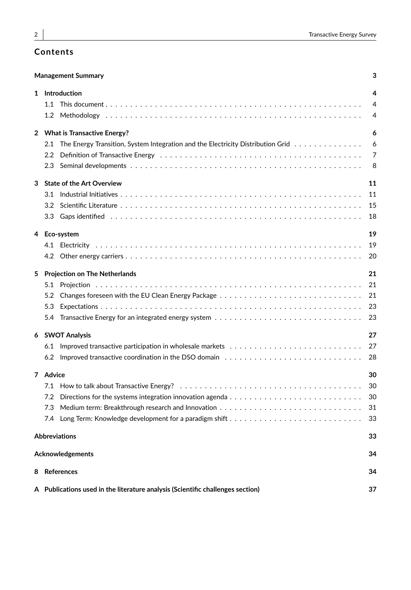# **Contents**

| 3<br><b>Management Summary</b> |                                      |                                                                                                                                 |    |  |
|--------------------------------|--------------------------------------|---------------------------------------------------------------------------------------------------------------------------------|----|--|
|                                |                                      | 1 Introduction                                                                                                                  | 4  |  |
|                                |                                      |                                                                                                                                 | 4  |  |
|                                |                                      |                                                                                                                                 | 4  |  |
|                                |                                      | 2 What is Transactive Energy?                                                                                                   | 6  |  |
|                                |                                      | 2.1 The Energy Transition, System Integration and the Electricity Distribution Grid                                             | 6  |  |
|                                | $2.2\,$                              |                                                                                                                                 | 7  |  |
|                                | 2.3                                  |                                                                                                                                 | 8  |  |
| 3                              |                                      | <b>State of the Art Overview</b>                                                                                                | 11 |  |
|                                |                                      |                                                                                                                                 | 11 |  |
|                                |                                      |                                                                                                                                 | 15 |  |
|                                | 3.3                                  | Gaps identified responses in the case of the case of the contract of the contract of the case of the case of t                  | 18 |  |
| 4                              |                                      | Eco-system                                                                                                                      | 19 |  |
|                                |                                      |                                                                                                                                 | 19 |  |
|                                |                                      |                                                                                                                                 | 20 |  |
| 5                              | <b>Projection on The Netherlands</b> |                                                                                                                                 |    |  |
|                                |                                      |                                                                                                                                 | 21 |  |
|                                |                                      |                                                                                                                                 | 21 |  |
|                                | 5.3                                  |                                                                                                                                 | 23 |  |
|                                | 5.4                                  |                                                                                                                                 | 23 |  |
| 6                              | <b>SWOT Analysis</b>                 |                                                                                                                                 |    |  |
|                                |                                      |                                                                                                                                 | 27 |  |
|                                |                                      | 6.2 Improved transactive coordination in the DSO domain $\ldots \ldots \ldots \ldots \ldots \ldots \ldots \ldots \ldots \ldots$ | 28 |  |
|                                | 7 Advice                             |                                                                                                                                 |    |  |
|                                |                                      |                                                                                                                                 | 30 |  |
|                                | 7.2                                  | Directions for the systems integration innovation agenda $\ldots \ldots \ldots \ldots \ldots \ldots \ldots \ldots \ldots$       | 30 |  |
|                                | 7.3                                  |                                                                                                                                 | 31 |  |
|                                |                                      |                                                                                                                                 | 33 |  |
| <b>Abbreviations</b><br>33     |                                      |                                                                                                                                 |    |  |
| <b>Acknowledgements</b>        |                                      |                                                                                                                                 |    |  |
| 8                              |                                      | <b>References</b>                                                                                                               | 34 |  |
|                                |                                      | A Publications used in the literature analysis (Scientific challenges section)                                                  | 37 |  |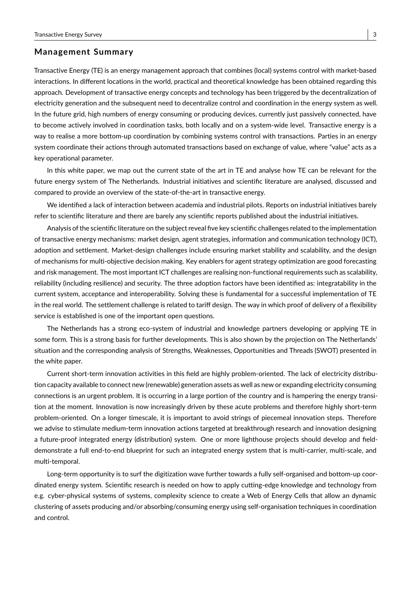### **Management Summary**

Transactive Energy (TE) is an energy management approach that combines (local) systems control with market-based interactions. In different locations in the world, practical and theoretical knowledge has been obtained regarding this approach. Development of transactive energy concepts and technology has been triggered by the decentralization of electricity generation and the subsequent need to decentralize control and coordination in the energy system as well. In the future grid, high numbers of energy consuming or producing devices, currently just passively connected, have to become actively involved in coordination tasks, both locally and on a system-wide level. Transactive energy is a way to realise a more bottom-up coordination by combining systems control with transactions. Parties in an energy system coordinate their actions through automated transactions based on exchange of value, where "value" acts as a key operational parameter.

In this white paper, we map out the current state of the art in TE and analyse how TE can be relevant for the future energy system of The Netherlands. Industrial initiatives and scientific literature are analysed, discussed and compared to provide an overview of the state-of-the-art in transactive energy.

We identified a lack of interaction between academia and industrial pilots. Reports on industrial initiatives barely refer to scientific literature and there are barely any scientific reports published about the industrial initiatives.

Analysis of the scientific literature on the subject reveal five key scientific challenges related to the implementation of transactive energy mechanisms: market design, agent strategies, information and communication technology (ICT), adoption and settlement. Market-design challenges include ensuring market stability and scalability, and the design of mechanisms for multi-objective decision making. Key enablers for agent strategy optimization are good forecasting and risk management. The most important ICT challenges are realising non-functional requirements such as scalability, reliability (including resilience) and security. The three adoption factors have been identified as: integratability in the current system, acceptance and interoperability. Solving these is fundamental for a successful implementation of TE in the real world. The settlement challenge is related to tariff design. The way in which proof of delivery of a flexibility service is established is one of the important open questions.

The Netherlands has a strong eco-system of industrial and knowledge partners developing or applying TE in some form. This is a strong basis for further developments. This is also shown by the projection on The Netherlands' situation and the corresponding analysis of Strengths, Weaknesses, Opportunities and Threads (SWOT) presented in the white paper.

Current short-term innovation activities in this field are highly problem-oriented. The lack of electricity distribution capacity available to connect new (renewable) generation assets as well as new or expanding electricity consuming connections is an urgent problem. It is occurring in a large portion of the country and is hampering the energy transition at the moment. Innovation is now increasingly driven by these acute problems and therefore highly short-term problem-oriented. On a longer timescale, it is important to avoid strings of piecemeal innovation steps. Therefore we advise to stimulate medium-term innovation actions targeted at breakthrough research and innovation designing a future-proof integrated energy (distribution) system. One or more lighthouse projects should develop and fielddemonstrate a full end-to-end blueprint for such an integrated energy system that is multi-carrier, multi-scale, and multi-temporal.

Long-term opportunity is to surf the digitization wave further towards a fully self-organised and bottom-up coordinated energy system. Scientific research is needed on how to apply cutting-edge knowledge and technology from e.g. cyber-physical systems of systems, complexity science to create a Web of Energy Cells that allow an dynamic clustering of assets producing and/or absorbing/consuming energy using self-organisation techniques in coordination and control.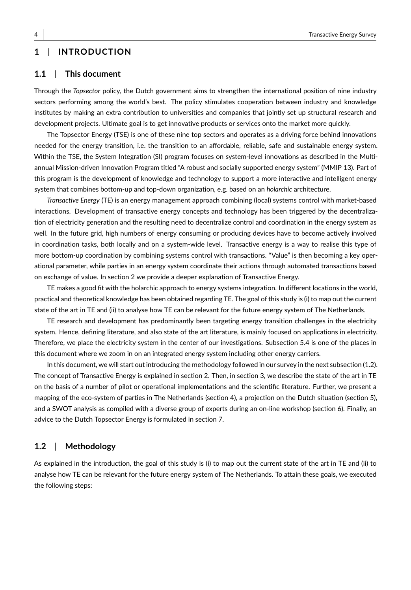# **1** | **INTRODUCTION**

### **1.1** | **This document**

Through the *Topsector* policy, the Dutch government aims to strengthen the international position of nine industry sectors performing among the world's best. The policy stimulates cooperation between industry and knowledge institutes by making an extra contribution to universities and companies that jointly set up structural research and development projects. Ultimate goal is to get innovative products or services onto the market more quickly.

The Topsector Energy (TSE) is one of these nine top sectors and operates as a driving force behind innovations needed for the energy transition, i.e. the transition to an affordable, reliable, safe and sustainable energy system. Within the TSE, the System Integration (SI) program focuses on system-level innovations as described in the Multiannual Mission-driven Innovation Program titled "A robust and socially supported energy system" (MMIP 13). Part of this program is the development of knowledge and technology to support a more interactive and intelligent energy system that combines bottom-up and top-down organization, e.g. based on an *holarchic* architecture.

*Transactive Energy* (TE) is an energy management approach combining (local) systems control with market-based interactions. Development of transactive energy concepts and technology has been triggered by the decentralization of electricity generation and the resulting need to decentralize control and coordination in the energy system as well. In the future grid, high numbers of energy consuming or producing devices have to become actively involved in coordination tasks, both locally and on a system-wide level. Transactive energy is a way to realise this type of more bottom-up coordination by combining systems control with transactions. "Value" is then becoming a key operational parameter, while parties in an energy system coordinate their actions through automated transactions based on exchange of value. In section 2 we provide a deeper explanation of Transactive Energy.

TE makes a good fit with the holarchic approach to energy systems integration. In different locations in the world, practical and theoretical knowledge has been obtained regarding TE. The goal of this study is (i) to map out the current state of the art in TE and (ii) to analyse how TE can be relevant for the future energy system of The Netherlands.

TE research and development has predominantly been targeting energy transition challenges in the electricity system. Hence, defining literature, and also state of the art literature, is mainly focused on applications in electricity. Therefore, we place the electricity system in the center of our investigations. Subsection 5.4 is one of the places in this document where we zoom in on an integrated energy system including other energy carriers.

In this document, we will start out introducing the methodology followed in our survey in the next subsection (1.2). The concept of Transactive Energy is explained in section 2. Then, in section 3, we describe the state of the art in TE on the basis of a number of pilot or operational implementations and the scientific literature. Further, we present a mapping of the eco-system of parties in The Netherlands (section 4), a projection on the Dutch situation (section 5), and a SWOT analysis as compiled with a diverse group of experts during an on-line workshop (section 6). Finally, an advice to the Dutch Topsector Energy is formulated in section 7.

#### **1.2** | **Methodology**

As explained in the introduction, the goal of this study is (i) to map out the current state of the art in TE and (ii) to analyse how TE can be relevant for the future energy system of The Netherlands. To attain these goals, we executed the following steps: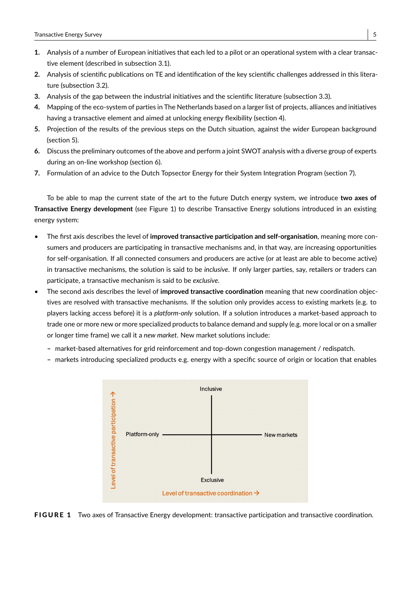- **1.** Analysis of a number of European initiatives that each led to a pilot or an operational system with a clear transactive element (described in subsection 3.1).
- **2.** Analysis of scientific publications on TE and identification of the key scientific challenges addressed in this literature (subsection 3.2).
- **3.** Analysis of the gap between the industrial initiatives and the scientific literature (subsection 3.3).
- **4.** Mapping of the eco-system of parties in The Netherlands based on a larger list of projects, alliances and initiatives having a transactive element and aimed at unlocking energy flexibility (section 4).
- **5.** Projection of the results of the previous steps on the Dutch situation, against the wider European background (section 5).
- **6.** Discuss the preliminary outcomes of the above and perform a joint SWOT analysis with a diverse group of experts during an on-line workshop (section 6).
- **7.** Formulation of an advice to the Dutch Topsector Energy for their System Integration Program (section 7).

To be able to map the current state of the art to the future Dutch energy system, we introduce **two axes of Transactive Energy development** (see Figure 1) to describe Transactive Energy solutions introduced in an existing energy system:

- The first axis describes the level of **improved transactive participation and self-organisation**, meaning more consumers and producers are participating in transactive mechanisms and, in that way, are increasing opportunities for self-organisation. If all connected consumers and producers are active (or at least are able to become active) in transactive mechanisms, the solution is said to be *inclusive*. If only larger parties, say, retailers or traders can participate, a transactive mechanism is said to be *exclusive*.
- The second axis describes the level of **improved transactive coordination** meaning that new coordination objectives are resolved with transactive mechanisms. If the solution only provides access to existing markets (e.g. to players lacking access before) it is a *platform-only* solution. If a solution introduces a market-based approach to trade one or more new or more specialized products to balance demand and supply (e.g. more local or on a smaller or longer time frame) we call it a *new market*. New market solutions include:
	- **–** market-based alternatives for grid reinforcement and top-down congestion management / redispatch.
	- **–** markets introducing specialized products e.g. energy with a specific source of origin or location that enables



FIGURE 1 Two axes of Transactive Energy development: transactive participation and transactive coordination.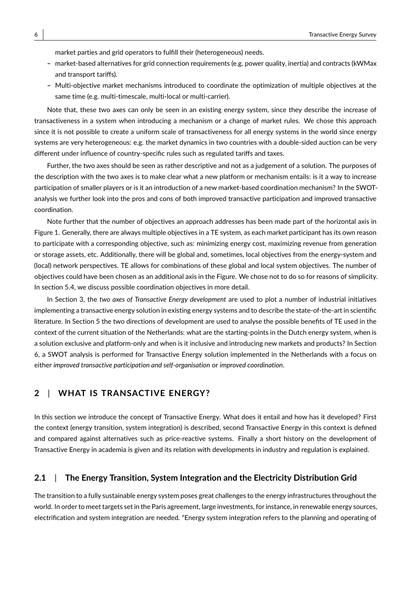market parties and grid operators to fulfill their (heterogeneous) needs.

- **–** market-based alternatives for grid connection requirements (e.g. power quality, inertia) and contracts (kWMax and transport tariffs).
- **–** Multi-objective market mechanisms introduced to coordinate the optimization of multiple objectives at the same time (e.g. multi-timescale, multi-local or multi-carrier).

Note that, these two axes can only be seen in an existing energy system, since they describe the increase of transactiveness in a system when introducing a mechanism or a change of market rules. We chose this approach since it is not possible to create a uniform scale of transactiveness for all energy systems in the world since energy systems are very heterogeneous: e.g. the market dynamics in two countries with a double-sided auction can be very different under influence of country-specific rules such as regulated tariffs and taxes.

Further, the two axes should be seen as rather descriptive and not as a judgement of a solution. The purposes of the description with the two axes is to make clear what a new platform or mechanism entails: is it a way to increase participation of smaller players or is it an introduction of a new market-based coordination mechanism? In the SWOTanalysis we further look into the pros and cons of both improved transactive participation and improved transactive coordination.

Note further that the number of objectives an approach addresses has been made part of the horizontal axis in Figure 1. Generally, there are always multiple objectives in a TE system, as each market participant has its own reason to participate with a corresponding objective, such as: minimizing energy cost, maximizing revenue from generation or storage assets, etc. Additionally, there will be global and, sometimes, local objectives from the energy-system and (local) network perspectives. TE allows for combinations of these global and local system objectives. The number of objectives could have been chosen as an additional axis in the Figure. We chose not to do so for reasons of simplicity. In section 5.4, we discuss possible coordination objectives in more detail.

In Section 3, the *two axes of Transactive Energy development* are used to plot a number of industrial initiatives implementing a transactive energy solution in existing energy systems and to describe the state-of-the-art in scientific literature. In Section 5 the two directions of development are used to analyse the possible benefits of TE used in the context of the current situation of the Netherlands: what are the starting-points in the Dutch energy system, when is a solution exclusive and platform-only and when is it inclusive and introducing new markets and products? In Section 6, a SWOT analysis is performed for Transactive Energy solution implemented in the Netherlands with a focus on either *improved transactive participation and self-organisation* or *improved coordination*.

# **2** | **WHAT IS TRANSACTIVE ENERGY?**

In this section we introduce the concept of Transactive Energy. What does it entail and how has it developed? First the context (energy transition, system integration) is described, second Transactive Energy in this context is defined and compared against alternatives such as price-reactive systems. Finally a short history on the development of Transactive Energy in academia is given and its relation with developments in industry and regulation is explained.

#### **2.1** | **The Energy Transition, System Integration and the Electricity Distribution Grid**

The transition to a fully sustainable energy system poses great challenges to the energy infrastructures throughout the world. In order to meet targets set in the Paris agreement, large investments, for instance, in renewable energy sources, electrification and system integration are needed. "Energy system integration refers to the planning and operating of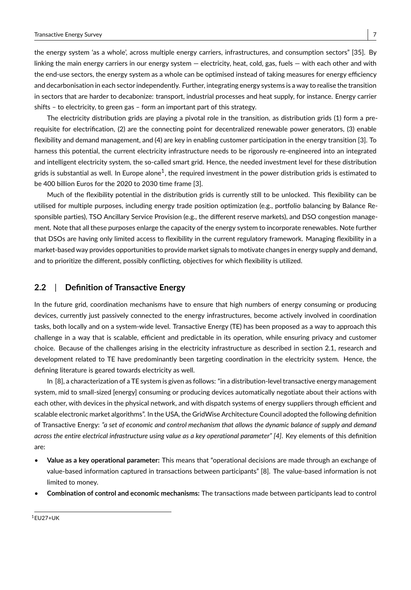the energy system 'as a whole', across multiple energy carriers, infrastructures, and consumption sectors" [35]. By linking the main energy carriers in our energy system — electricity, heat, cold, gas, fuels — with each other and with the end-use sectors, the energy system as a whole can be optimised instead of taking measures for energy efficiency and decarbonisation in each sector independently. Further, integrating energy systems is a way to realise the transition in sectors that are harder to decabonize: transport, industrial processes and heat supply, for instance. Energy carrier shifts – to electricity, to green gas – form an important part of this strategy.

The electricity distribution grids are playing a pivotal role in the transition, as distribution grids (1) form a prerequisite for electrification, (2) are the connecting point for decentralized renewable power generators, (3) enable flexibility and demand management, and (4) are key in enabling customer participation in the energy transition [3]. To harness this potential, the current electricity infrastructure needs to be rigorously re-engineered into an integrated and intelligent electricity system, the so-called smart grid. Hence, the needed investment level for these distribution grids is substantial as well. In Europe alone $^1$ , the required investment in the power distribution grids is estimated to be 400 billion Euros for the 2020 to 2030 time frame [3].

Much of the flexibility potential in the distribution grids is currently still to be unlocked. This flexibility can be utilised for multiple purposes, including energy trade position optimization (e.g., portfolio balancing by Balance Responsible parties), TSO Ancillary Service Provision (e.g., the different reserve markets), and DSO congestion management. Note that all these purposes enlarge the capacity of the energy system to incorporate renewables. Note further that DSOs are having only limited access to flexibility in the current regulatory framework. Managing flexibility in a market-based way provides opportunities to provide market signals to motivate changes in energy supply and demand, and to prioritize the different, possibly conflicting, objectives for which flexibility is utilized.

### **2.2** | **Definition of Transactive Energy**

In the future grid, coordination mechanisms have to ensure that high numbers of energy consuming or producing devices, currently just passively connected to the energy infrastructures, become actively involved in coordination tasks, both locally and on a system-wide level. Transactive Energy (TE) has been proposed as a way to approach this challenge in a way that is scalable, efficient and predictable in its operation, while ensuring privacy and customer choice. Because of the challenges arising in the electricity infrastructure as described in section 2.1, research and development related to TE have predominantly been targeting coordination in the electricity system. Hence, the defining literature is geared towards electricity as well.

In [8], a characterization of a TE system is given as follows: "in a distribution-level transactive energy management system, mid to small-sized [energy] consuming or producing devices automatically negotiate about their actions with each other, with devices in the physical network, and with dispatch systems of energy suppliers through efficient and scalable electronic market algorithms". In the USA, the GridWise Architecture Council adopted the following definition of Transactive Energy: *"a set of economic and control mechanism that allows the dynamic balance of supply and demand across the entire electrical infrastructure using value as a key operational parameter" [4]*. Key elements of this definition are:

- **Value as a key operational parameter:** This means that "operational decisions are made through an exchange of value-based information captured in transactions between participants" [8]. The value-based information is not limited to money.
- **Combination of control and economic mechanisms:** The transactions made between participants lead to control

<sup>1</sup>EU27+UK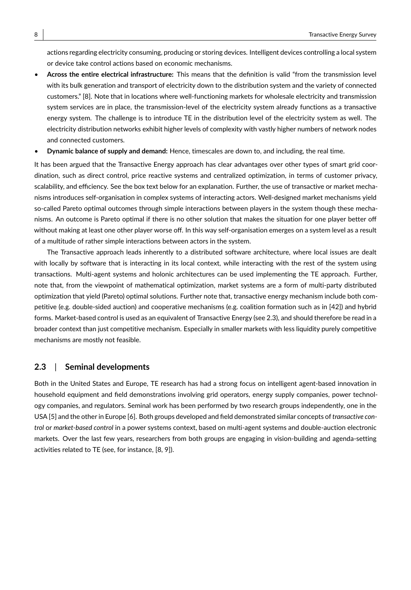actions regarding electricity consuming, producing or storing devices. Intelligent devices controlling a local system or device take control actions based on economic mechanisms.

- **Across the entire electrical infrastructure:** This means that the definition is valid "from the transmission level with its bulk generation and transport of electricity down to the distribution system and the variety of connected customers." [8]. Note that in locations where well-functioning markets for wholesale electricity and transmission system services are in place, the transmission-level of the electricity system already functions as a transactive energy system. The challenge is to introduce TE in the distribution level of the electricity system as well. The electricity distribution networks exhibit higher levels of complexity with vastly higher numbers of network nodes and connected customers.
- **Dynamic balance of supply and demand:** Hence, timescales are down to, and including, the real time.

It has been argued that the Transactive Energy approach has clear advantages over other types of smart grid coordination, such as direct control, price reactive systems and centralized optimization, in terms of customer privacy, scalability, and efficiency. See the box text below for an explanation. Further, the use of transactive or market mechanisms introduces self-organisation in complex systems of interacting actors. Well-designed market mechanisms yield so-called Pareto optimal outcomes through simple interactions between players in the system though these mechanisms. An outcome is Pareto optimal if there is no other solution that makes the situation for one player better off without making at least one other player worse off. In this way self-organisation emerges on a system level as a result of a multitude of rather simple interactions between actors in the system.

The Transactive approach leads inherently to a distributed software architecture, where local issues are dealt with locally by software that is interacting in its local context, while interacting with the rest of the system using transactions. Multi-agent systems and holonic architectures can be used implementing the TE approach. Further, note that, from the viewpoint of mathematical optimization, market systems are a form of multi-party distributed optimization that yield (Pareto) optimal solutions. Further note that, transactive energy mechanism include both competitive (e.g. double-sided auction) and cooperative mechanisms (e.g. coalition formation such as in [42]) and hybrid forms. Market-based control is used as an equivalent of Transactive Energy (see 2.3), and should therefore be read in a broader context than just competitive mechanism. Especially in smaller markets with less liquidity purely competitive mechanisms are mostly not feasible.

### **2.3** | **Seminal developments**

Both in the United States and Europe, TE research has had a strong focus on intelligent agent-based innovation in household equipment and field demonstrations involving grid operators, energy supply companies, power technology companies, and regulators. Seminal work has been performed by two research groups independently, one in the USA [5] and the other in Europe [6]. Both groups developed and field demonstrated similar concepts of *transactive control* or *market-based control* in a power systems context, based on multi-agent systems and double-auction electronic markets. Over the last few years, researchers from both groups are engaging in vision-building and agenda-setting activities related to TE (see, for instance, [8, 9]).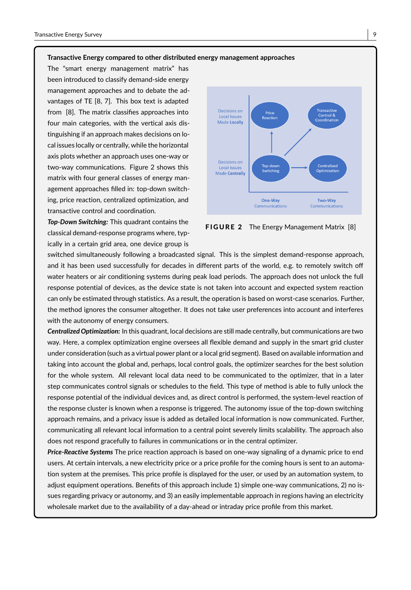#### **Transactive Energy compared to other distributed energy management approaches**

The "smart energy management matrix" has been introduced to classify demand-side energy management approaches and to debate the advantages of TE [8, 7]. This box text is adapted from [8]. The matrix classifies approaches into four main categories, with the vertical axis distinguishing if an approach makes decisions on local issues locally or centrally, while the horizontal axis plots whether an approach uses one-way or two-way communications. Figure 2 shows this matrix with four general classes of energy management approaches filled in: top-down switching, price reaction, centralized optimization, and transactive control and coordination.

*Top-Down Switching:* This quadrant contains the classical demand-response programs where, typically in a certain grid area, one device group is



FIGURE 2 The Energy Management Matrix [8]

switched simultaneously following a broadcasted signal. This is the simplest demand-response approach, and it has been used successfully for decades in different parts of the world, e.g. to remotely switch off water heaters or air conditioning systems during peak load periods. The approach does not unlock the full response potential of devices, as the device state is not taken into account and expected system reaction can only be estimated through statistics. As a result, the operation is based on worst-case scenarios. Further, the method ignores the consumer altogether. It does not take user preferences into account and interferes with the autonomy of energy consumers.

*Centralized Optimization:* In this quadrant, local decisions are still made centrally, but communications are two way. Here, a complex optimization engine oversees all flexible demand and supply in the smart grid cluster under consideration (such as a virtual power plant or a local grid segment). Based on available information and taking into account the global and, perhaps, local control goals, the optimizer searches for the best solution for the whole system. All relevant local data need to be communicated to the optimizer, that in a later step communicates control signals or schedules to the field. This type of method is able to fully unlock the response potential of the individual devices and, as direct control is performed, the system-level reaction of the response cluster is known when a response is triggered. The autonomy issue of the top-down switching approach remains, and a privacy issue is added as detailed local information is now communicated. Further, communicating all relevant local information to a central point severely limits scalability. The approach also does not respond gracefully to failures in communications or in the central optimizer.

*Price-Reactive Systems* The price reaction approach is based on one-way signaling of a dynamic price to end users. At certain intervals, a new electricity price or a price profile for the coming hours is sent to an automation system at the premises. This price profile is displayed for the user, or used by an automation system, to adjust equipment operations. Benefits of this approach include 1) simple one-way communications, 2) no issues regarding privacy or autonomy, and 3) an easily implementable approach in regions having an electricity wholesale market due to the availability of a day-ahead or intraday price profile from this market.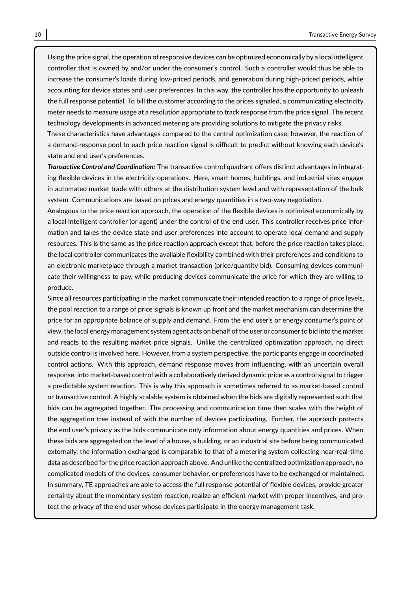Using the price signal, the operation of responsive devices can be optimized economically by a local intelligent controller that is owned by and/or under the consumer's control. Such a controller would thus be able to increase the consumer's loads during low-priced periods, and generation during high-priced periods, while accounting for device states and user preferences. In this way, the controller has the opportunity to unleash the full response potential. To bill the customer according to the prices signaled, a communicating electricity meter needs to measure usage at a resolution appropriate to track response from the price signal. The recent technology developments in advanced metering are providing solutions to mitigate the privacy risks.

These characteristics have advantages compared to the central optimization case; however, the reaction of a demand-response pool to each price reaction signal is difficult to predict without knowing each device's state and end user's preferences.

*Transactive Control and Coordination:* The transactive control quadrant offers distinct advantages in integrating flexible devices in the electricity operations. Here, smart homes, buildings, and industrial sites engage in automated market trade with others at the distribution system level and with representation of the bulk system. Communications are based on prices and energy quantities in a two-way negotiation.

Analogous to the price reaction approach, the operation of the flexible devices is optimized economically by a local intelligent controller (or agent) under the control of the end user. This controller receives price information and takes the device state and user preferences into account to operate local demand and supply resources. This is the same as the price reaction approach except that, before the price reaction takes place, the local controller communicates the available flexibility combined with their preferences and conditions to an electronic marketplace through a market transaction (price/quantity bid). Consuming devices communicate their willingness to pay, while producing devices communicate the price for which they are willing to produce.

Since all resources participating in the market communicate their intended reaction to a range of price levels, the pool reaction to a range of price signals is known up front and the market mechanism can determine the price for an appropriate balance of supply and demand. From the end user's or energy consumer's point of view, the local energy management system agent acts on behalf of the user or consumer to bid into the market and reacts to the resulting market price signals. Unlike the centralized optimization approach, no direct outside control is involved here. However, from a system perspective, the participants engage in coordinated control actions. With this approach, demand response moves from influencing, with an uncertain overall response, into market-based control with a collaboratively derived dynamic price as a control signal to trigger a predictable system reaction. This is why this approach is sometimes referred to as market-based control or transactive control. A highly scalable system is obtained when the bids are digitally represented such that bids can be aggregated together. The processing and communication time then scales with the height of the aggregation tree instead of with the number of devices participating. Further, the approach protects the end user's privacy as the bids communicate only information about energy quantities and prices. When these bids are aggregated on the level of a house, a building, or an industrial site before being communicated externally, the information exchanged is comparable to that of a metering system collecting near-real-time data as described for the price reaction approach above. And unlike the centralized optimization approach, no complicated models of the devices, consumer behavior, or preferences have to be exchanged or maintained. In summary, TE approaches are able to access the full response potential of flexible devices, provide greater certainty about the momentary system reaction, realize an efficient market with proper incentives, and protect the privacy of the end user whose devices participate in the energy management task.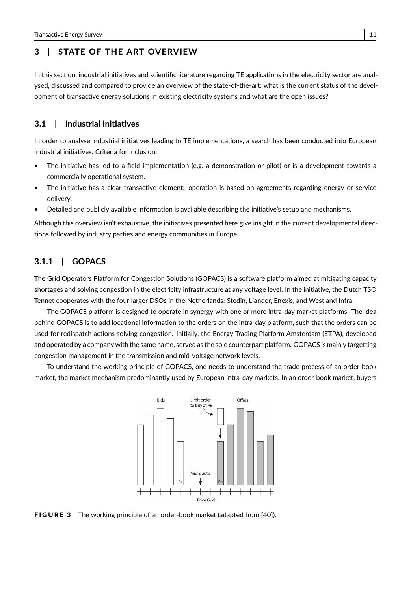# **3** | **STATE OF THE ART OVERVIEW**

In this section, industrial initiatives and scientific literature regarding TE applications in the electricity sector are analysed, discussed and compared to provide an overview of the state-of-the-art: what is the current status of the development of transactive energy solutions in existing electricity systems and what are the open issues?

### **3.1** | **Industrial Initiatives**

In order to analyse industrial initiatives leading to TE implementations, a search has been conducted into European industrial initiatives. Criteria for inclusion:

- The initiative has led to a field implementation (e.g. a demonstration or pilot) or is a development towards a commercially operational system.
- The initiative has a clear transactive element: operation is based on agreements regarding energy or service delivery.
- Detailed and publicly available information is available describing the initiative's setup and mechanisms.

Although this overview isn't exhaustive, the initiatives presented here give insight in the current developmental directions followed by industry parties and energy communities in Europe.

# **3.1.1** | **GOPACS**

The Grid Operators Platform for Congestion Solutions (GOPACS) is a software platform aimed at mitigating capacity shortages and solving congestion in the electricity infrastructure at any voltage level. In the initiative, the Dutch TSO Tennet cooperates with the four larger DSOs in the Netherlands: Stedin, Liander, Enexis, and Westland Infra.

The GOPACS platform is designed to operate in synergy with one or more intra-day market platforms. The idea behind GOPACS is to add locational information to the orders on the intra-day platform, such that the orders can be used for redispatch actions solving congestion. Initially, the Energy Trading Platform Amsterdam (ETPA), developed and operated by a company with the same name, served as the sole counterpart platform. GOPACS is mainly targetting congestion management in the transmission and mid-voltage network levels.

To understand the working principle of GOPACS, one needs to understand the trade process of an order-book market, the market mechanism predominantly used by European intra-day markets. In an order-book market, buyers



**FIGURE 3** The working principle of an order-book market (adapted from [40]).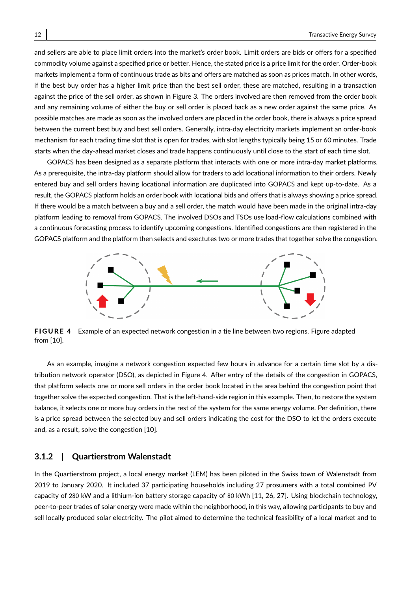and sellers are able to place limit orders into the market's order book. Limit orders are bids or offers for a specified commodity volume against a specified price or better. Hence, the stated price is a price limit for the order. Order-book markets implement a form of continuous trade as bits and offers are matched as soon as prices match. In other words, if the best buy order has a higher limit price than the best sell order, these are matched, resulting in a transaction against the price of the sell order, as shown in Figure 3. The orders involved are then removed from the order book and any remaining volume of either the buy or sell order is placed back as a new order against the same price. As possible matches are made as soon as the involved orders are placed in the order book, there is always a price spread between the current best buy and best sell orders. Generally, intra-day electricity markets implement an order-book mechanism for each trading time slot that is open for trades, with slot lengths typically being 15 or 60 minutes. Trade starts when the day-ahead market closes and trade happens continuously until close to the start of each time slot.

GOPACS has been designed as a separate platform that interacts with one or more intra-day market platforms. As a prerequisite, the intra-day platform should allow for traders to add locational information to their orders. Newly entered buy and sell orders having locational information are duplicated into GOPACS and kept up-to-date. As a result, the GOPACS platform holds an order book with locational bids and offers that is always showing a price spread. If there would be a match between a buy and a sell order, the match would have been made in the original intra-day platform leading to removal from GOPACS. The involved DSOs and TSOs use load-flow calculations combined with a continuous forecasting process to identify upcoming congestions. Identified congestions are then registered in the GOPACS platform and the platform then selects and exectutes two or more trades that together solve the congestion.



FIGURE 4 Example of an expected network congestion in a tie line between two regions. Figure adapted from [10].

As an example, imagine a network congestion expected few hours in advance for a certain time slot by a distribution network operator (DSO), as depicted in Figure 4. After entry of the details of the congestion in GOPACS, that platform selects one or more sell orders in the order book located in the area behind the congestion point that together solve the expected congestion. That is the left-hand-side region in this example. Then, to restore the system balance, it selects one or more buy orders in the rest of the system for the same energy volume. Per definition, there is a price spread between the selected buy and sell orders indicating the cost for the DSO to let the orders execute and, as a result, solve the congestion [10].

### **3.1.2** | **Quartierstrom Walenstadt**

In the Quartierstrom project, a local energy market (LEM) has been piloted in the Swiss town of Walenstadt from 2019 to January 2020. It included 37 participating households including 27 prosumers with a total combined PV capacity of 280 kW and a lithium-ion battery storage capacity of 80 kWh [11, 26, 27]. Using blockchain technology, peer-to-peer trades of solar energy were made within the neighborhood, in this way, allowing participants to buy and sell locally produced solar electricity. The pilot aimed to determine the technical feasibility of a local market and to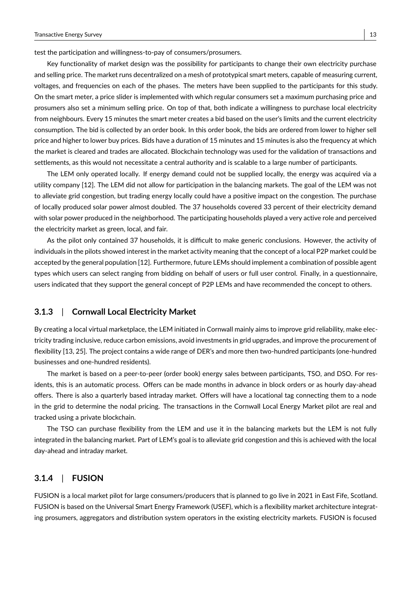test the participation and willingness-to-pay of consumers/prosumers.

Key functionality of market design was the possibility for participants to change their own electricity purchase and selling price. The market runs decentralized on a mesh of prototypical smart meters, capable of measuring current, voltages, and frequencies on each of the phases. The meters have been supplied to the participants for this study. On the smart meter, a price slider is implemented with which regular consumers set a maximum purchasing price and prosumers also set a minimum selling price. On top of that, both indicate a willingness to purchase local electricity from neighbours. Every 15 minutes the smart meter creates a bid based on the user's limits and the current electricity consumption. The bid is collected by an order book. In this order book, the bids are ordered from lower to higher sell price and higher to lower buy prices. Bids have a duration of 15 minutes and 15 minutes is also the frequency at which the market is cleared and trades are allocated. Blockchain technology was used for the validation of transactions and settlements, as this would not necessitate a central authority and is scalable to a large number of participants.

The LEM only operated locally. If energy demand could not be supplied locally, the energy was acquired via a utility company [12]. The LEM did not allow for participation in the balancing markets. The goal of the LEM was not to alleviate grid congestion, but trading energy locally could have a positive impact on the congestion. The purchase of locally produced solar power almost doubled. The 37 households covered 33 percent of their electricity demand with solar power produced in the neighborhood. The participating households played a very active role and perceived the electricity market as green, local, and fair.

As the pilot only contained 37 households, it is difficult to make generic conclusions. However, the activity of individuals in the pilots showed interest in the market activity meaning that the concept of a local P2P market could be accepted by the general population [12]. Furthermore, future LEMs should implement a combination of possible agent types which users can select ranging from bidding on behalf of users or full user control. Finally, in a questionnaire, users indicated that they support the general concept of P2P LEMs and have recommended the concept to others.

### **3.1.3** | **Cornwall Local Electricity Market**

By creating a local virtual marketplace, the LEM initiated in Cornwall mainly aims to improve grid reliability, make electricity trading inclusive, reduce carbon emissions, avoid investments in grid upgrades, and improve the procurement of flexibility [13, 25]. The project contains a wide range of DER's and more then two-hundred participants (one-hundred businesses and one-hundred residents).

The market is based on a peer-to-peer (order book) energy sales between participants, TSO, and DSO. For residents, this is an automatic process. Offers can be made months in advance in block orders or as hourly day-ahead offers. There is also a quarterly based intraday market. Offers will have a locational tag connecting them to a node in the grid to determine the nodal pricing. The transactions in the Cornwall Local Energy Market pilot are real and tracked using a private blockchain.

The TSO can purchase flexibility from the LEM and use it in the balancing markets but the LEM is not fully integrated in the balancing market. Part of LEM's goal is to alleviate grid congestion and this is achieved with the local day-ahead and intraday market.

# **3.1.4** | **FUSION**

FUSION is a local market pilot for large consumers/producers that is planned to go live in 2021 in East Fife, Scotland. FUSION is based on the Universal Smart Energy Framework (USEF), which is a flexibility market architecture integrating prosumers, aggregators and distribution system operators in the existing electricity markets. FUSION is focused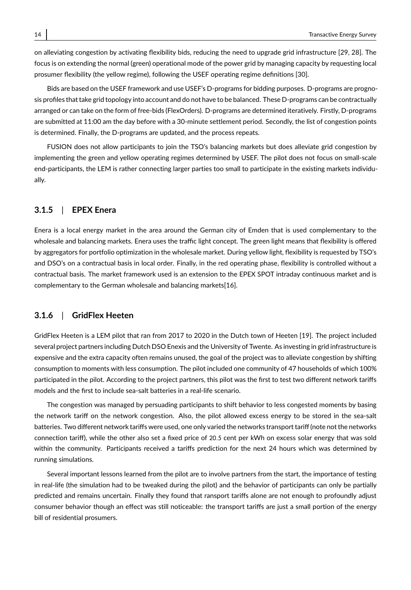on alleviating congestion by activating flexibility bids, reducing the need to upgrade grid infrastructure [29, 28]. The focus is on extending the normal (green) operational mode of the power grid by managing capacity by requesting local prosumer flexibility (the yellow regime), following the USEF operating regime definitions [30].

Bids are based on the USEF framework and use USEF's D-programs for bidding purposes. D-programs are prognosis profiles that take grid topology into account and do not have to be balanced. These D-programs can be contractually arranged or can take on the form of free-bids (FlexOrders). D-programs are determined iteratively. Firstly, D-programs are submitted at 11:00 am the day before with a 30-minute settlement period. Secondly, the list of congestion points is determined. Finally, the D-programs are updated, and the process repeats.

FUSION does not allow participants to join the TSO's balancing markets but does alleviate grid congestion by implementing the green and yellow operating regimes determined by USEF. The pilot does not focus on small-scale end-participants, the LEM is rather connecting larger parties too small to participate in the existing markets individually.

# **3.1.5** | **EPEX Enera**

Enera is a local energy market in the area around the German city of Emden that is used complementary to the wholesale and balancing markets. Enera uses the traffic light concept. The green light means that flexibility is offered by aggregators for portfolio optimization in the wholesale market. During yellow light, flexibility is requested by TSO's and DSO's on a contractual basis in local order. Finally, in the red operating phase, flexibility is controlled without a contractual basis. The market framework used is an extension to the EPEX SPOT intraday continuous market and is complementary to the German wholesale and balancing markets[16].

#### **3.1.6** | **GridFlex Heeten**

GridFlex Heeten is a LEM pilot that ran from 2017 to 2020 in the Dutch town of Heeten [19]. The project included several project partners including Dutch DSO Enexis and the University of Twente. As investing in grid infrastructure is expensive and the extra capacity often remains unused, the goal of the project was to alleviate congestion by shifting consumption to moments with less consumption. The pilot included one community of 47 households of which 100% participated in the pilot. According to the project partners, this pilot was the first to test two different network tariffs models and the first to include sea-salt batteries in a real-life scenario.

The congestion was managed by persuading participants to shift behavior to less congested moments by basing the network tariff on the network congestion. Also, the pilot allowed excess energy to be stored in the sea-salt batteries. Two different network tariffs were used, one only varied the networks transport tariff (note not the networks connection tariff), while the other also set a fixed price of <sup>20</sup>.<sup>5</sup> cent per kWh on excess solar energy that was sold within the community. Participants received a tariffs prediction for the next 24 hours which was determined by running simulations.

Several important lessons learned from the pilot are to involve partners from the start, the importance of testing in real-life (the simulation had to be tweaked during the pilot) and the behavior of participants can only be partially predicted and remains uncertain. Finally they found that ransport tariffs alone are not enough to profoundly adjust consumer behavior though an effect was still noticeable: the transport tariffs are just a small portion of the energy bill of residential prosumers.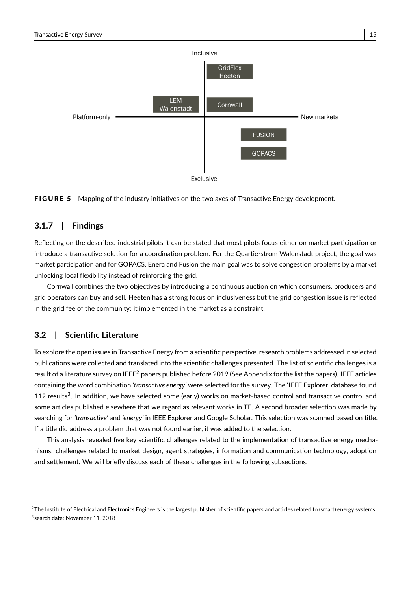



### **3.1.7** | **Findings**

Reflecting on the described industrial pilots it can be stated that most pilots focus either on market participation or introduce a transactive solution for a coordination problem. For the Quartierstrom Walenstadt project, the goal was market participation and for GOPACS, Enera and Fusion the main goal was to solve congestion problems by a market unlocking local flexibility instead of reinforcing the grid.

Cornwall combines the two objectives by introducing a continuous auction on which consumers, producers and grid operators can buy and sell. Heeten has a strong focus on inclusiveness but the grid congestion issue is reflected in the grid fee of the community: it implemented in the market as a constraint.

# **3.2** | **Scientific Literature**

To explore the open issues in Transactive Energy from a scientific perspective, research problems addressed in selected publications were collected and translated into the scientific challenges presented. The list of scientific challenges is a result of a literature survey on IEEE<sup>2</sup> papers published before 2019 (See Appendix for the list the papers). IEEE articles containing the word combination *'transactive energy'* were selected for the survey. The 'IEEE Explorer' database found 112 results<sup>3</sup>. In addition, we have selected some (early) works on market-based control and transactive control and some articles published elsewhere that we regard as relevant works in TE. A second broader selection was made by searching for *'transactive'* and *'energy'* in IEEE Explorer and Google Scholar. This selection was scanned based on title. If a title did address a problem that was not found earlier, it was added to the selection.

This analysis revealed five key scientific challenges related to the implementation of transactive energy mechanisms: challenges related to market design, agent strategies, information and communication technology, adoption and settlement. We will briefly discuss each of these challenges in the following subsections.

<sup>&</sup>lt;sup>2</sup>The Institute of Electrical and Electronics Engineers is the largest publisher of scientific papers and articles related to (smart) energy systems. 3 search date: November 11, 2018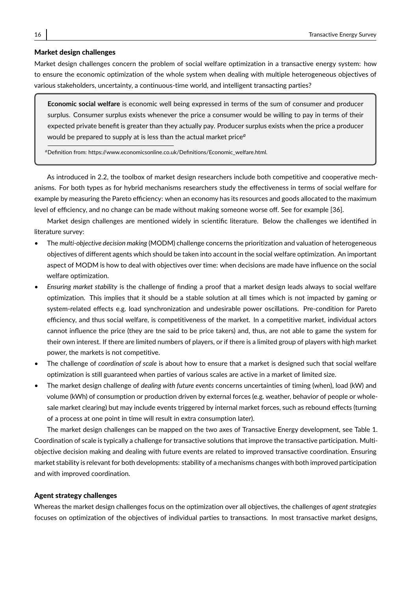#### Market design challenges

Market design challenges concern the problem of social welfare optimization in a transactive energy system: how to ensure the economic optimization of the whole system when dealing with multiple heterogeneous objectives of various stakeholders, uncertainty, a continuous-time world, and intelligent transacting parties?

**Economic social welfare** is economic well being expressed in terms of the sum of consumer and producer surplus. Consumer surplus exists whenever the price a consumer would be willing to pay in terms of their expected private benefit is greater than they actually pay. Producer surplus exists when the price a producer would be prepared to supply at is less than the actual market price*<sup>a</sup>*

*<sup>a</sup>*Definition from: https://www.economicsonline.co.uk/Definitions/Economic\_welfare.html.

As introduced in 2.2, the toolbox of market design researchers include both competitive and cooperative mechanisms. For both types as for hybrid mechanisms researchers study the effectiveness in terms of social welfare for example by measuring the Pareto efficiency: when an economy has its resources and goods allocated to the maximum level of efficiency, and no change can be made without making someone worse off. See for example [36].

Market design challenges are mentioned widely in scientific literature. Below the challenges we identified in literature survey:

- The *multi-objective decision making* (MODM) challenge concerns the prioritization and valuation of heterogeneous objectives of different agents which should be taken into account in the social welfare optimization. An important aspect of MODM is how to deal with objectives over time: when decisions are made have influence on the social welfare optimization.
- *Ensuring market stability* is the challenge of finding a proof that a market design leads always to social welfare optimization. This implies that it should be a stable solution at all times which is not impacted by gaming or system-related effects e.g. load synchronization and undesirable power oscillations. Pre-condition for Pareto efficiency, and thus social welfare, is competitiveness of the market. In a competitive market, individual actors cannot influence the price (they are tne said to be price takers) and, thus, are not able to game the system for their own interest. If there are limited numbers of players, or if there is a limited group of players with high market power, the markets is not competitive.
- The challenge of *coordination of scale* is about how to ensure that a market is designed such that social welfare optimization is still guaranteed when parties of various scales are active in a market of limited size.
- The market design challenge of *dealing with future events* concerns uncertainties of timing (when), load (kW) and volume (kWh) of consumption or production driven by external forces (e.g. weather, behavior of people or wholesale market clearing) but may include events triggered by internal market forces, such as rebound effects (turning of a process at one point in time will result in extra consumption later).

The market design challenges can be mapped on the two axes of Transactive Energy development, see Table 1. Coordination of scale is typically a challenge for transactive solutions that improve the transactive participation. Multiobjective decision making and dealing with future events are related to improved transactive coordination. Ensuring market stability is relevant for both developments: stability of a mechanisms changes with both improved participation and with improved coordination.

#### Agent strategy challenges

Whereas the market design challenges focus on the optimization over all objectives, the challenges of *agent strategies* focuses on optimization of the objectives of individual parties to transactions. In most transactive market designs,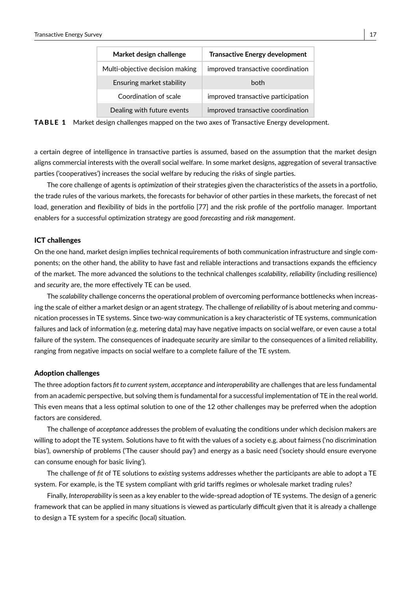| Market design challenge         | <b>Transactive Energy development</b> |
|---------------------------------|---------------------------------------|
| Multi-objective decision making | improved transactive coordination     |
| Ensuring market stability       | hoth                                  |
| Coordination of scale           | improved transactive participation    |
| Dealing with future events      | improved transactive coordination     |



a certain degree of intelligence in transactive parties is assumed, based on the assumption that the market design aligns commercial interests with the overall social welfare. In some market designs, aggregation of several transactive parties ('cooperatives') increases the social welfare by reducing the risks of single parties.

The core challenge of agents is *optimization* of their strategies given the characteristics of the assets in a portfolio, the trade rules of the various markets, the forecasts for behavior of other parties in these markets, the forecast of net load, generation and flexibility of bids in the portfolio [77] and the risk profile of the portfolio manager. Important enablers for a successful optimization strategy are good *forecasting* and *risk management*.

#### ICT challenges

On the one hand, market design implies technical requirements of both communication infrastructure and single components; on the other hand, the ability to have fast and reliable interactions and transactions expands the efficiency of the market. The more advanced the solutions to the technical challenges *scalability*, *reliability* (including resilience) and *security* are, the more effectively TE can be used.

The *scalability* challenge concerns the operational problem of overcoming performance bottlenecks when increasing the scale of either a market design or an agent strategy. The challenge of *reliability* of is about metering and communication processes in TE systems. Since two-way communication is a key characteristic of TE systems, communication failures and lack of information (e.g. metering data) may have negative impacts on social welfare, or even cause a total failure of the system. The consequences of inadequate *security* are similar to the consequences of a limited reliability, ranging from negative impacts on social welfare to a complete failure of the TE system.

#### Adoption challenges

The three adoption factors *fit to current system*, *acceptance* and *interoperability* are challenges that are less fundamental from an academic perspective, but solving them is fundamental for a successful implementation of TE in the real world. This even means that a less optimal solution to one of the 12 other challenges may be preferred when the adoption factors are considered.

The challenge of *acceptance* addresses the problem of evaluating the conditions under which decision makers are willing to adopt the TE system. Solutions have to fit with the values of a society e.g. about fairness ('no discrimination bias'), ownership of problems ('The causer should pay') and energy as a basic need ('society should ensure everyone can consume enough for basic living').

The challenge of *fit* of TE solutions to *existing* systems addresses whether the participants are able to adopt a TE system. For example, is the TE system compliant with grid tariffs regimes or wholesale market trading rules?

Finally, *Interoperability* is seen as a key enabler to the wide-spread adoption of TE systems. The design of a generic framework that can be applied in many situations is viewed as particularly difficult given that it is already a challenge to design a TE system for a specific (local) situation.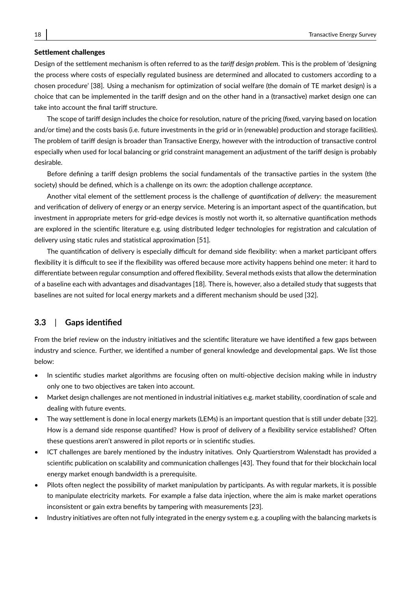#### Settlement challenges

Design of the settlement mechanism is often referred to as the *tariff design problem*. This is the problem of 'designing the process where costs of especially regulated business are determined and allocated to customers according to a chosen procedure' [38]. Using a mechanism for optimization of social welfare (the domain of TE market design) is a choice that can be implemented in the tariff design and on the other hand in a (transactive) market design one can take into account the final tariff structure.

The scope of tariff design includes the choice for resolution, nature of the pricing (fixed, varying based on location and/or time) and the costs basis (i.e. future investments in the grid or in (renewable) production and storage facilities). The problem of tariff design is broader than Transactive Energy, however with the introduction of transactive control especially when used for local balancing or grid constraint management an adjustment of the tariff design is probably desirable.

Before defining a tariff design problems the social fundamentals of the transactive parties in the system (the society) should be defined, which is a challenge on its own: the adoption challenge *acceptance*.

Another vital element of the settlement process is the challenge of *quantification of delivery*: the measurement and verification of delivery of energy or an energy service. Metering is an important aspect of the quantification, but investment in appropriate meters for grid-edge devices is mostly not worth it, so alternative quantification methods are explored in the scientific literature e.g. using distributed ledger technologies for registration and calculation of delivery using static rules and statistical approximation [51].

The quantification of delivery is especially difficult for demand side flexibility: when a market participant offers flexibility it is difficult to see if the flexibility was offered because more activity happens behind one meter: it hard to differentiate between regular consumption and offered flexibility. Several methods exists that allow the determination of a baseline each with advantages and disadvantages [18]. There is, however, also a detailed study that suggests that baselines are not suited for local energy markets and a different mechanism should be used [32].

### **3.3** | **Gaps identified**

From the brief review on the industry initiatives and the scientific literature we have identified a few gaps between industry and science. Further, we identified a number of general knowledge and developmental gaps. We list those below:

- In scientific studies market algorithms are focusing often on multi-objective decision making while in industry only one to two objectives are taken into account.
- Market design challenges are not mentioned in industrial initiatives e.g. market stability, coordination of scale and dealing with future events.
- The way settlement is done in local energy markets (LEMs) is an important question that is still under debate [32]. How is a demand side response quantified? How is proof of delivery of a flexibility service established? Often these questions aren't answered in pilot reports or in scientific studies.
- ICT challenges are barely mentioned by the industry initatives. Only Quartierstrom Walenstadt has provided a scientific publication on scalability and communication challenges [43]. They found that for their blockchain local energy market enough bandwidth is a prerequisite.
- Pilots often neglect the possibility of market manipulation by participants. As with regular markets, it is possible to manipulate electricity markets. For example a false data injection, where the aim is make market operations inconsistent or gain extra benefits by tampering with measurements [23].
- Industry initiatives are often not fully integrated in the energy system e.g. a coupling with the balancing markets is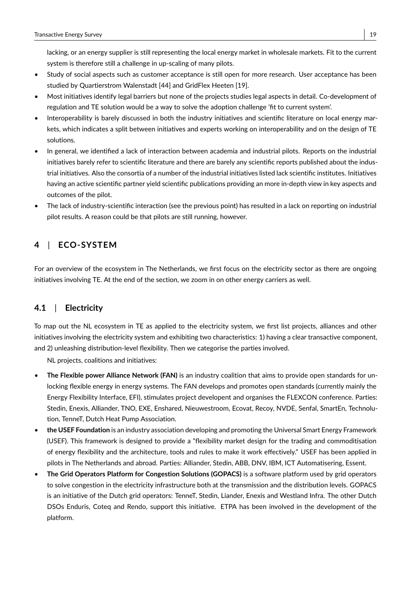lacking, or an energy supplier is still representing the local energy market in wholesale markets. Fit to the current system is therefore still a challenge in up-scaling of many pilots.

- Study of social aspects such as customer acceptance is still open for more research. User acceptance has been studied by Quartierstrom Walenstadt [44] and GridFlex Heeten [19].
- Most initiatives identify legal barriers but none of the projects studies legal aspects in detail. Co-development of regulation and TE solution would be a way to solve the adoption challenge 'fit to current system'.
- Interoperability is barely discussed in both the industry initiatives and scientific literature on local energy markets, which indicates a split between initiatives and experts working on interoperability and on the design of TE solutions.
- In general, we identified a lack of interaction between academia and industrial pilots. Reports on the industrial initiatives barely refer to scientific literature and there are barely any scientific reports published about the industrial initiatives. Also the consortia of a number of the industrial initiatives listed lack scientific institutes. Initiatives having an active scientific partner yield scientific publications providing an more in-depth view in key aspects and outcomes of the pilot.
- The lack of industry-scientific interaction (see the previous point) has resulted in a lack on reporting on industrial pilot results. A reason could be that pilots are still running, however.

# **4** | **ECO-SYSTEM**

For an overview of the ecosystem in The Netherlands, we first focus on the electricity sector as there are ongoing initiatives involving TE. At the end of the section, we zoom in on other energy carriers as well.

# **4.1** | **Electricity**

To map out the NL ecosystem in TE as applied to the electricity system, we first list projects, alliances and other initiatives involving the electricity system and exhibiting two characteristics: 1) having a clear transactive component, and 2) unleashing distribution-level flexibility. Then we categorise the parties involved.

NL projects, coalitions and initiatives:

- **The Flexible power Alliance Network (FAN)** is an industry coalition that aims to provide open standards for unlocking flexible energy in energy systems. The FAN develops and promotes open standards (currently mainly the Energy Flexibility Interface, EFI), stimulates project developent and organises the FLEXCON conference. Parties: Stedin, Enexis, Alliander, TNO, EXE, Enshared, Nieuwestroom, Ecovat, Recoy, NVDE, Senfal, SmartEn, Technolution, TenneT, Dutch Heat Pump Association.
- **the USEF Foundation** is an industry association developing and promoting the Universal Smart Energy Framework (USEF). This framework is designed to provide a "flexibility market design for the trading and commoditisation of energy flexibility and the architecture, tools and rules to make it work effectively." USEF has been applied in pilots in The Netherlands and abroad. Parties: Alliander, Stedin, ABB, DNV, IBM, ICT Automatisering, Essent.
- **The Grid Operators Platform for Congestion Solutions (GOPACS)** is a software platform used by grid operators to solve congestion in the electricity infrastructure both at the transmission and the distribution levels. GOPACS is an initiative of the Dutch grid operators: TenneT, Stedin, Liander, Enexis and Westland Infra. The other Dutch DSOs Enduris, Coteq and Rendo, support this initiative. ETPA has been involved in the development of the platform.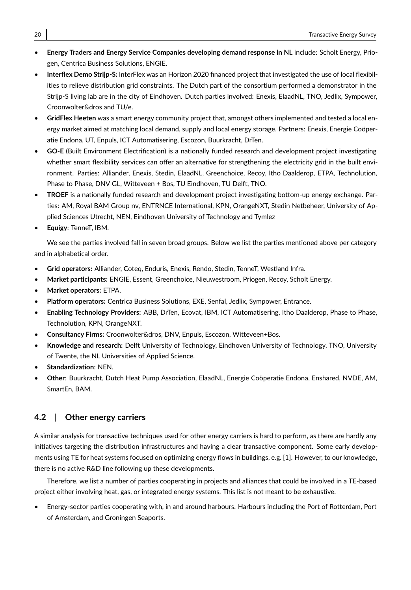- **Energy Traders and Energy Service Companies developing demand response in NL** include: Scholt Energy, Priogen, Centrica Business Solutions, ENGIE.
- **Interflex Demo Strijp-S:** InterFlex was an Horizon 2020 financed project that investigated the use of local flexibilities to relieve distribution grid constraints. The Dutch part of the consortium performed a demonstrator in the Strijp-S living lab are in the city of Eindhoven. Dutch parties involved: Enexis, ElaadNL, TNO, Jedlix, Sympower, Croonwolter&dros and TU/e.
- **GridFlex Heeten** was a smart energy community project that, amongst others implemented and tested a local energy market aimed at matching local demand, supply and local energy storage. Partners: Enexis, Energie Coöperatie Endona, UT, Enpuls, ICT Automatisering, Escozon, Buurkracht, DrTen.
- **GO-E** (Built Environment Electrification) is a nationally funded research and development project investigating whether smart flexibility services can offer an alternative for strengthening the electricity grid in the built environment. Parties: Alliander, Enexis, Stedin, ElaadNL, Greenchoice, Recoy, Itho Daalderop, ETPA, Technolution, Phase to Phase, DNV GL, Witteveen + Bos, TU Eindhoven, TU Delft, TNO.
- **TROEF** is a nationally funded research and development project investigating bottom-up energy exchange. Parties: AM, Royal BAM Group nv, ENTRNCE International, KPN, OrangeNXT, Stedin Netbeheer, University of Applied Sciences Utrecht, NEN, Eindhoven University of Technology and Tymlez
- **Equigy**: TenneT, IBM.

We see the parties involved fall in seven broad groups. Below we list the parties mentioned above per category and in alphabetical order.

- **Grid operators:** Alliander, Coteq, Enduris, Enexis, Rendo, Stedin, TenneT, Westland Infra.
- **Market participants:** ENGIE, Essent, Greenchoice, Nieuwestroom, Priogen, Recoy, Scholt Energy.
- **Market operators:** ETPA.
- **Platform operators:** Centrica Business Solutions, EXE, Senfal, Jedlix, Sympower, Entrance.
- **Enabling Technology Providers:** ABB, DrTen, Ecovat, IBM, ICT Automatisering, Itho Daalderop, Phase to Phase, Technolution, KPN, OrangeNXT.
- **Consultancy Firms:** Croonwolter&dros, DNV, Enpuls, Escozon, Witteveen+Bos.
- **Knowledge and research:** Delft University of Technology, Eindhoven University of Technology, TNO, University of Twente, the NL Universities of Applied Science.
- **Standardization**: NEN.
- **Other**: Buurkracht, Dutch Heat Pump Association, ElaadNL, Energie Coöperatie Endona, Enshared, NVDE, AM, SmartEn, BAM.

# **4.2** | **Other energy carriers**

A similar analysis for transactive techniques used for other energy carriers is hard to perform, as there are hardly any initiatives targeting the distribution infrastructures and having a clear transactive component. Some early developments using TE for heat systems focused on optimizing energy flows in buildings, e.g. [1]. However, to our knowledge, there is no active R&D line following up these developments.

Therefore, we list a number of parties cooperating in projects and alliances that could be involved in a TE-based project either involving heat, gas, or integrated energy systems. This list is not meant to be exhaustive.

• Energy-sector parties cooperating with, in and around harbours. Harbours including the Port of Rotterdam, Port of Amsterdam, and Groningen Seaports.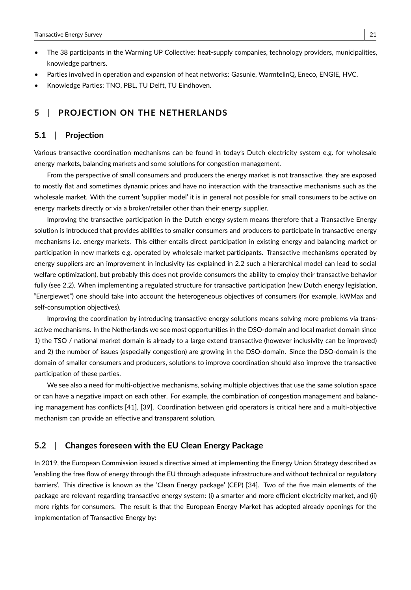- The 38 participants in the Warming UP Collective: heat-supply companies, technology providers, municipalities, knowledge partners.
- Parties involved in operation and expansion of heat networks: Gasunie, WarmtelinQ, Eneco, ENGIE, HVC.
- Knowledge Parties: TNO, PBL, TU Delft, TU Eindhoven.

# **5** | **PROJECTION ON THE NETHERLANDS**

#### **5.1** | **Projection**

Various transactive coordination mechanisms can be found in today's Dutch electricity system e.g. for wholesale energy markets, balancing markets and some solutions for congestion management.

From the perspective of small consumers and producers the energy market is not transactive, they are exposed to mostly flat and sometimes dynamic prices and have no interaction with the transactive mechanisms such as the wholesale market. With the current 'supplier model' it is in general not possible for small consumers to be active on energy markets directly or via a broker/retailer other than their energy supplier.

Improving the transactive participation in the Dutch energy system means therefore that a Transactive Energy solution is introduced that provides abilities to smaller consumers and producers to participate in transactive energy mechanisms i.e. energy markets. This either entails direct participation in existing energy and balancing market or participation in new markets e.g. operated by wholesale market participants. Transactive mechanisms operated by energy suppliers are an improvement in inclusivity (as explained in 2.2 such a hierarchical model can lead to social welfare optimization), but probably this does not provide consumers the ability to employ their transactive behavior fully (see 2.2). When implementing a regulated structure for transactive participation (new Dutch energy legislation, "Energiewet") one should take into account the heterogeneous objectives of consumers (for example, kWMax and self-consumption objectives).

Improving the coordination by introducing transactive energy solutions means solving more problems via transactive mechanisms. In the Netherlands we see most opportunities in the DSO-domain and local market domain since 1) the TSO / national market domain is already to a large extend transactive (however inclusivity can be improved) and 2) the number of issues (especially congestion) are growing in the DSO-domain. Since the DSO-domain is the domain of smaller consumers and producers, solutions to improve coordination should also improve the transactive participation of these parties.

We see also a need for multi-objective mechanisms, solving multiple objectives that use the same solution space or can have a negative impact on each other. For example, the combination of congestion management and balancing management has conflicts [41], [39]. Coordination between grid operators is critical here and a multi-objective mechanism can provide an effective and transparent solution.

# **5.2** | **Changes foreseen with the EU Clean Energy Package**

In 2019, the European Commission issued a directive aimed at implementing the Energy Union Strategy described as 'enabling the free flow of energy through the EU through adequate infrastructure and without technical or regulatory barriers'. This directive is known as the 'Clean Energy package' (CEP) [34]. Two of the five main elements of the package are relevant regarding transactive energy system: (i) a smarter and more efficient electricity market, and (ii) more rights for consumers. The result is that the European Energy Market has adopted already openings for the implementation of Transactive Energy by: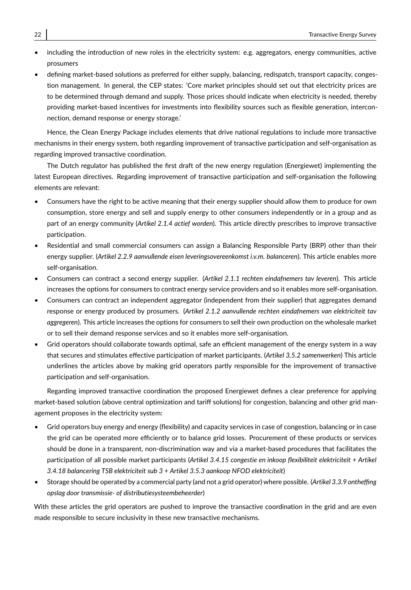- including the introduction of new roles in the electricity system: e.g. aggregators, energy communities, active prosumers
- defining market-based solutions as preferred for either supply, balancing, redispatch, transport capacity, congestion management. In general, the CEP states: 'Core market principles should set out that electricity prices are to be determined through demand and supply. Those prices should indicate when electricity is needed, thereby providing market-based incentives for investments into flexibility sources such as flexible generation, interconnection, demand response or energy storage.'

Hence, the Clean Energy Package includes elements that drive national regulations to include more transactive mechanisms in their energy system, both regarding improvement of transactive participation and self-organisation as regarding improved transactive coordination.

The Dutch regulator has published the first draft of the new energy regulation (Energiewet) implementing the latest European directives. Regarding improvement of transactive participation and self-organisation the following elements are relevant:

- Consumers have the right to be active meaning that their energy supplier should allow them to produce for own consumption, store energy and sell and supply energy to other consumers independently or in a group and as part of an energy community (*Artikel 2.1.4 actief worden*). This article directly prescribes to improve transactive participation.
- Residential and small commercial consumers can assign a Balancing Responsible Party (BRP) other than their energy supplier. (*Artikel 2.2.9 aanvullende eisen leveringsovereenkomst i.v.m. balanceren*). This article enables more self-organisation.
- Consumers can contract a second energy supplier. (*Artikel 2.1.1 rechten eindafnemers tav leveren*). This article increases the options for consumers to contract energy service providers and so it enables more self-organisation.
- Consumers can contract an independent aggregator (independent from their supplier) that aggregates demand response or energy produced by prosumers. (*Artikel 2.1.2 aanvullende rechten eindafnemers van elektriciteit tav aggregeren*). This article increases the options for consumers to sell their own production on the wholesale market or to sell their demand response services and so it enables more self-organisation.
- Grid operators should collaborate towards optimal, safe an efficient management of the energy system in a way that secures and stimulates effective participation of market participants. (*Artikel 3.5.2 samenwerken*) This article underlines the articles above by making grid operators partly responsible for the improvement of transactive participation and self-organisation.

Regarding improved transactive coordination the proposed Energiewet defines a clear preference for applying market-based solution (above central optimization and tariff solutions) for congestion, balancing and other grid management proposes in the electricity system:

- Grid operators buy energy and energy (flexibility) and capacity services in case of congestion, balancing or in case the grid can be operated more efficiently or to balance grid losses. Procurement of these products or services should be done in a transparent, non-discrimination way and via a market-based procedures that facilitates the participation of all possible market participants (*Artikel 3.4.15 congestie en inkoop flexibiliteit elektriciteit + Artikel 3.4.18 balancering TSB elektriciteit sub 3 + Artikel 3.5.3 aankoop NFOD elektriciteit*)
- Storage should be operated by a commercial party (and not a grid operator) where possible. (*Artikel 3.3.9 ontheffing opslag door transmissie- of distributiesysteembeheerder*)

With these articles the grid operators are pushed to improve the transactive coordination in the grid and are even made responsible to secure inclusivity in these new transactive mechanisms.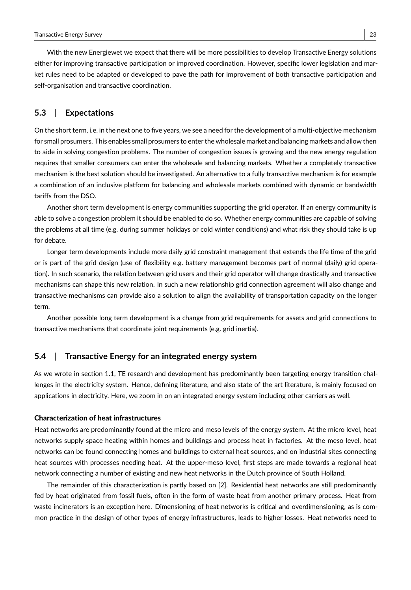With the new Energiewet we expect that there will be more possibilities to develop Transactive Energy solutions either for improving transactive participation or improved coordination. However, specific lower legislation and market rules need to be adapted or developed to pave the path for improvement of both transactive participation and self-organisation and transactive coordination.

### **5.3** | **Expectations**

On the short term, i.e. in the next one to five years, we see a need for the development of a multi-objective mechanism for small prosumers. This enables small prosumers to enter the wholesale market and balancing markets and allow then to aide in solving congestion problems. The number of congestion issues is growing and the new energy regulation requires that smaller consumers can enter the wholesale and balancing markets. Whether a completely transactive mechanism is the best solution should be investigated. An alternative to a fully transactive mechanism is for example a combination of an inclusive platform for balancing and wholesale markets combined with dynamic or bandwidth tariffs from the DSO.

Another short term development is energy communities supporting the grid operator. If an energy community is able to solve a congestion problem it should be enabled to do so. Whether energy communities are capable of solving the problems at all time (e.g. during summer holidays or cold winter conditions) and what risk they should take is up for debate.

Longer term developments include more daily grid constraint management that extends the life time of the grid or is part of the grid design (use of flexibility e.g. battery management becomes part of normal (daily) grid operation). In such scenario, the relation between grid users and their grid operator will change drastically and transactive mechanisms can shape this new relation. In such a new relationship grid connection agreement will also change and transactive mechanisms can provide also a solution to align the availability of transportation capacity on the longer term.

Another possible long term development is a change from grid requirements for assets and grid connections to transactive mechanisms that coordinate joint requirements (e.g. grid inertia).

### **5.4** | **Transactive Energy for an integrated energy system**

As we wrote in section 1.1, TE research and development has predominantly been targeting energy transition challenges in the electricity system. Hence, defining literature, and also state of the art literature, is mainly focused on applications in electricity. Here, we zoom in on an integrated energy system including other carriers as well.

#### Characterization of heat infrastructures

Heat networks are predominantly found at the micro and meso levels of the energy system. At the micro level, heat networks supply space heating within homes and buildings and process heat in factories. At the meso level, heat networks can be found connecting homes and buildings to external heat sources, and on industrial sites connecting heat sources with processes needing heat. At the upper-meso level, first steps are made towards a regional heat network connecting a number of existing and new heat networks in the Dutch province of South Holland.

The remainder of this characterization is partly based on [2]. Residential heat networks are still predominantly fed by heat originated from fossil fuels, often in the form of waste heat from another primary process. Heat from waste incinerators is an exception here. Dimensioning of heat networks is critical and overdimensioning, as is common practice in the design of other types of energy infrastructures, leads to higher losses. Heat networks need to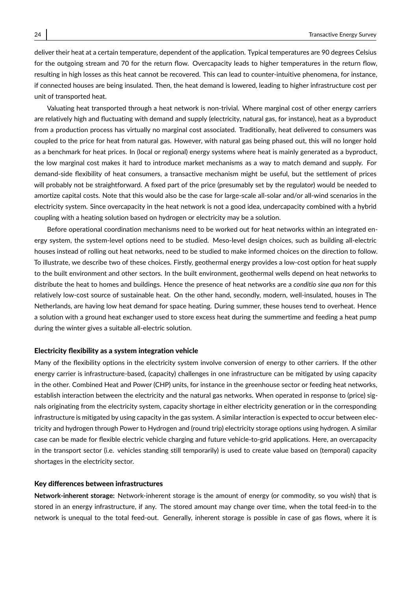deliver their heat at a certain temperature, dependent of the application. Typical temperatures are 90 degrees Celsius for the outgoing stream and 70 for the return flow. Overcapacity leads to higher temperatures in the return flow, resulting in high losses as this heat cannot be recovered. This can lead to counter-intuitive phenomena, for instance, if connected houses are being insulated. Then, the heat demand is lowered, leading to higher infrastructure cost per unit of transported heat.

Valuating heat transported through a heat network is non-trivial. Where marginal cost of other energy carriers are relatively high and fluctuating with demand and supply (electricity, natural gas, for instance), heat as a byproduct from a production process has virtually no marginal cost associated. Traditionally, heat delivered to consumers was coupled to the price for heat from natural gas. However, with natural gas being phased out, this will no longer hold as a benchmark for heat prices. In (local or regional) energy systems where heat is mainly generated as a byproduct, the low marginal cost makes it hard to introduce market mechanisms as a way to match demand and supply. For demand-side flexibility of heat consumers, a transactive mechanism might be useful, but the settlement of prices will probably not be straightforward. A fixed part of the price (presumably set by the regulator) would be needed to amortize capital costs. Note that this would also be the case for large-scale all-solar and/or all-wind scenarios in the electricity system. Since overcapacity in the heat network is not a good idea, undercapacity combined with a hybrid coupling with a heating solution based on hydrogen or electricity may be a solution.

Before operational coordination mechanisms need to be worked out for heat networks within an integrated energy system, the system-level options need to be studied. Meso-level design choices, such as building all-electric houses instead of rolling out heat networks, need to be studied to make informed choices on the direction to follow. To illustrate, we describe two of these choices. Firstly, geothermal energy provides a low-cost option for heat supply to the built environment and other sectors. In the built environment, geothermal wells depend on heat networks to distribute the heat to homes and buildings. Hence the presence of heat networks are a *conditio sine qua non* for this relatively low-cost source of sustainable heat. On the other hand, secondly, modern, well-insulated, houses in The Netherlands, are having low heat demand for space heating. During summer, these houses tend to overheat. Hence a solution with a ground heat exchanger used to store excess heat during the summertime and feeding a heat pump during the winter gives a suitable all-electric solution.

#### Electricity flexibility as a system integration vehicle

Many of the flexibility options in the electricity system involve conversion of energy to other carriers. If the other energy carrier is infrastructure-based, (capacity) challenges in one infrastructure can be mitigated by using capacity in the other. Combined Heat and Power (CHP) units, for instance in the greenhouse sector or feeding heat networks, establish interaction between the electricity and the natural gas networks. When operated in response to (price) signals originating from the electricity system, capacity shortage in either electricity generation or in the corresponding infrastructure is mitigated by using capacity in the gas system. A similar interaction is expected to occur between electricity and hydrogen through Power to Hydrogen and (round trip) electricity storage options using hydrogen. A similar case can be made for flexible electric vehicle charging and future vehicle-to-grid applications. Here, an overcapacity in the transport sector (i.e. vehicles standing still temporarily) is used to create value based on (temporal) capacity shortages in the electricity sector.

#### Key differences between infrastructures

**Network-inherent storage:** Network-inherent storage is the amount of energy (or commodity, so you wish) that is stored in an energy infrastructure, if any. The stored amount may change over time, when the total feed-in to the network is unequal to the total feed-out. Generally, inherent storage is possible in case of gas flows, where it is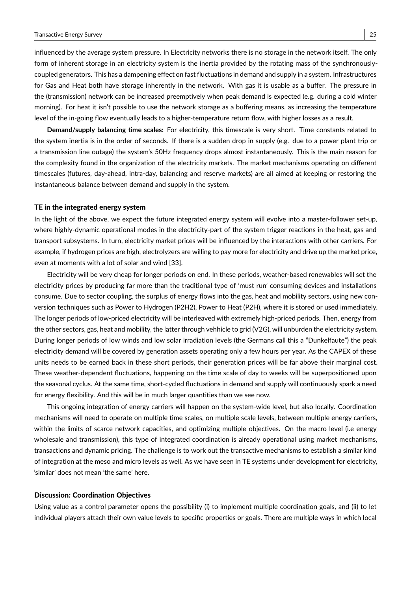influenced by the average system pressure. In Electricity networks there is no storage in the network itself. The only form of inherent storage in an electricity system is the inertia provided by the rotating mass of the synchronouslycoupled generators. This has a dampening effect on fast fluctuations in demand and supply in a system. Infrastructures for Gas and Heat both have storage inherently in the network. With gas it is usable as a buffer. The pressure in the (transmission) network can be increased preemptively when peak demand is expected (e.g. during a cold winter morning). For heat it isn't possible to use the network storage as a buffering means, as increasing the temperature level of the in-going flow eventually leads to a higher-temperature return flow, with higher losses as a result.

**Demand/supply balancing time scales:** For electricity, this timescale is very short. Time constants related to the system inertia is in the order of seconds. If there is a sudden drop in supply (e.g. due to a power plant trip or a transmission line outage) the system's 50Hz frequency drops almost instantaneously. This is the main reason for the complexity found in the organization of the electricity markets. The market mechanisms operating on different timescales (futures, day-ahead, intra-day, balancing and reserve markets) are all aimed at keeping or restoring the instantaneous balance between demand and supply in the system.

#### TE in the integrated energy system

In the light of the above, we expect the future integrated energy system will evolve into a master-follower set-up, where highly-dynamic operational modes in the electricity-part of the system trigger reactions in the heat, gas and transport subsystems. In turn, electricity market prices will be influenced by the interactions with other carriers. For example, if hydrogen prices are high, electrolyzers are willing to pay more for electricity and drive up the market price, even at moments with a lot of solar and wind [33].

Electricity will be very cheap for longer periods on end. In these periods, weather-based renewables will set the electricity prices by producing far more than the traditional type of 'must run' consuming devices and installations consume. Due to sector coupling, the surplus of energy flows into the gas, heat and mobility sectors, using new conversion techniques such as Power to Hydrogen (P2H2), Power to Heat (P2H), where it is stored or used immediately. The longer periods of low-priced electricity will be interleaved with extremely high-priced periods. Then, energy from the other sectors, gas, heat and mobility, the latter through vehhicle to grid (V2G), will unburden the electricity system. During longer periods of low winds and low solar irradiation levels (the Germans call this a "Dunkelfaute") the peak electricity demand will be covered by generation assets operating only a few hours per year. As the CAPEX of these units needs to be earned back in these short periods, their generation prices will be far above their marginal cost. These weather-dependent fluctuations, happening on the time scale of day to weeks will be superpositioned upon the seasonal cyclus. At the same time, short-cycled fluctuations in demand and supply will continuously spark a need for energy flexibility. And this will be in much larger quantities than we see now.

This ongoing integration of energy carriers will happen on the system-wide level, but also locally. Coordination mechanisms will need to operate on multiple time scales, on multiple scale levels, between multiple energy carriers, within the limits of scarce network capacities, and optimizing multiple objectives. On the macro level (i.e energy wholesale and transmission), this type of integrated coordination is already operational using market mechanisms, transactions and dynamic pricing. The challenge is to work out the transactive mechanisms to establish a similar kind of integration at the meso and micro levels as well. As we have seen in TE systems under development for electricity, 'similar' does not mean 'the same' here.

#### Discussion: Coordination Objectives

Using value as a control parameter opens the possibility (i) to implement multiple coordination goals, and (ii) to let individual players attach their own value levels to specific properties or goals. There are multiple ways in which local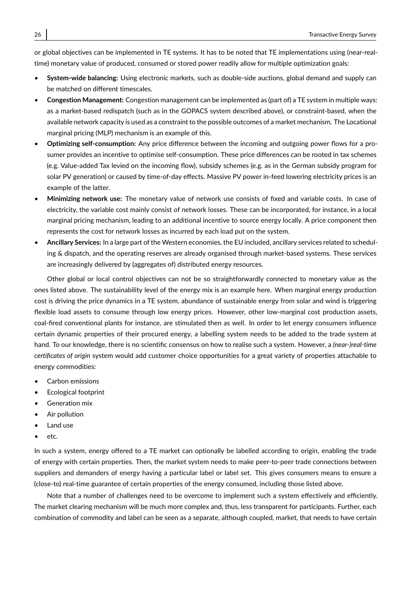or global objectives can be implemented in TE systems. It has to be noted that TE implementations using (near-realtime) monetary value of produced, consumed or stored power readily allow for multiple optimization goals:

- **System-wide balancing:** Using electronic markets, such as double-side auctions, global demand and supply can be matched on different timescales.
- **Congestion Management:** Congestion management can be implemented as (part of) a TE system in multiple ways: as a market-based redispatch (such as in the GOPACS system described above), or constraint-based, when the available network capacity is used as a constraint to the possible outcomes of a market mechanism. The Locational marginal pricing (MLP) mechanism is an example of this.
- **Optimizing self-consumption:** Any price difference between the incoming and outgoing power flows for a prosumer provides an incentive to optimise self-consumption. These price differences can be rooted in tax schemes (e.g. Value-added Tax levied on the incoming flow), subsidy schemes (e.g. as in the German subsidy program for solar PV generation) or caused by time-of-day effects. Massive PV power in-feed lowering electricity prices is an example of the latter.
- **Minimizing network use:** The monetary value of network use consists of fixed and variable costs. In case of electricity, the variable cost mainly consist of network losses. These can be incorporated, for instance, in a local marginal pricing mechanism, leading to an additional incentive to source energy locally. A price component then represents the cost for network losses as incurred by each load put on the system.
- **Ancillary Services:** In a large part of the Western economies, the EU included, ancillary services related to scheduling & dispatch, and the operating reserves are already organised through market-based systems. These services are increasingly delivered by (aggregates of) distributed energy resources.

Other global or local control objectives can not be so straightforwardly connected to monetary value as the ones listed above. The sustainability level of the energy mix is an example here. When marginal energy production cost is driving the price dynamics in a TE system, abundance of sustainable energy from solar and wind is triggering flexible load assets to consume through low energy prices. However, other low-marginal cost production assets, coal-fired conventional plants for instance, are stimulated then as well. In order to let energy consumers influence certain dynamic properties of their procured energy, a labelling system needs to be added to the trade system at hand. To our knowledge, there is no scientific consensus on how to realise such a system. However, a *(near-)real-time certificates of origin* system would add customer choice opportunities for a great variety of properties attachable to energy commodities:

- Carbon emissions
- Ecological footprint
- Generation mix
- Air pollution
- Land use
- etc.

In such a system, energy offered to a TE market can optionally be labelled according to origin, enabling the trade of energy with certain properties. Then, the market system needs to make peer-to-peer trade connections between suppliers and demanders of energy having a particular label or label set. This gives consumers means to ensure a (close-to) real-time guarantee of certain properties of the energy consumed, including those listed above.

Note that a number of challenges need to be overcome to implement such a system effectively and efficiently. The market clearing mechanism will be much more complex and, thus, less transparent for participants. Further, each combination of commodity and label can be seen as a separate, although coupled, market, that needs to have certain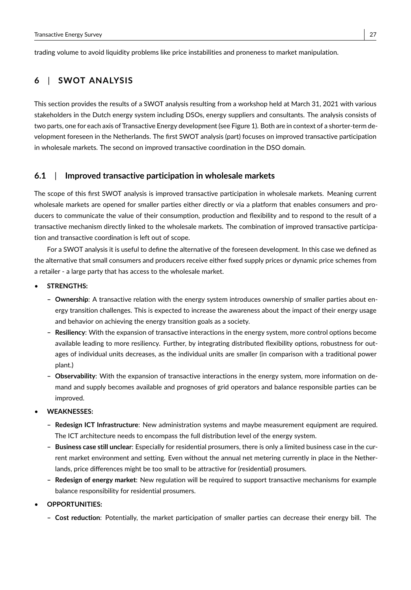trading volume to avoid liquidity problems like price instabilities and proneness to market manipulation.

# **6** | **SWOT ANALYSIS**

This section provides the results of a SWOT analysis resulting from a workshop held at March 31, 2021 with various stakeholders in the Dutch energy system including DSOs, energy suppliers and consultants. The analysis consists of two parts, one for each axis of Transactive Energy development (see Figure 1). Both are in context of a shorter-term development foreseen in the Netherlands. The first SWOT analysis (part) focuses on improved transactive participation in wholesale markets. The second on improved transactive coordination in the DSO domain.

### **6.1** | **Improved transactive participation in wholesale markets**

The scope of this first SWOT analysis is improved transactive participation in wholesale markets. Meaning current wholesale markets are opened for smaller parties either directly or via a platform that enables consumers and producers to communicate the value of their consumption, production and flexibility and to respond to the result of a transactive mechanism directly linked to the wholesale markets. The combination of improved transactive participation and transactive coordination is left out of scope.

For a SWOT analysis it is useful to define the alternative of the foreseen development. In this case we defined as the alternative that small consumers and producers receive either fixed supply prices or dynamic price schemes from a retailer - a large party that has access to the wholesale market.

- **STRENGTHS:**
	- **– Ownership**: A transactive relation with the energy system introduces ownership of smaller parties about energy transition challenges. This is expected to increase the awareness about the impact of their energy usage and behavior on achieving the energy transition goals as a society.
	- **– Resiliency**: With the expansion of transactive interactions in the energy system, more control options become available leading to more resiliency. Further, by integrating distributed flexibility options, robustness for outages of individual units decreases, as the individual units are smaller (in comparison with a traditional power plant.)
	- **– Observability**: With the expansion of transactive interactions in the energy system, more information on demand and supply becomes available and prognoses of grid operators and balance responsible parties can be improved.
- **WEAKNESSES:**
	- **– Redesign ICT Infrastructure**: New administration systems and maybe measurement equipment are required. The ICT architecture needs to encompass the full distribution level of the energy system.
	- **– Business case still unclear**: Especially for residential prosumers, there is only a limited business case in the current market environment and setting. Even without the annual net metering currently in place in the Netherlands, price differences might be too small to be attractive for (residential) prosumers.
	- **– Redesign of energy market**: New regulation will be required to support transactive mechanisms for example balance responsibility for residential prosumers.
- **OPPORTUNITIES:**
	- **– Cost reduction**: Potentially, the market participation of smaller parties can decrease their energy bill. The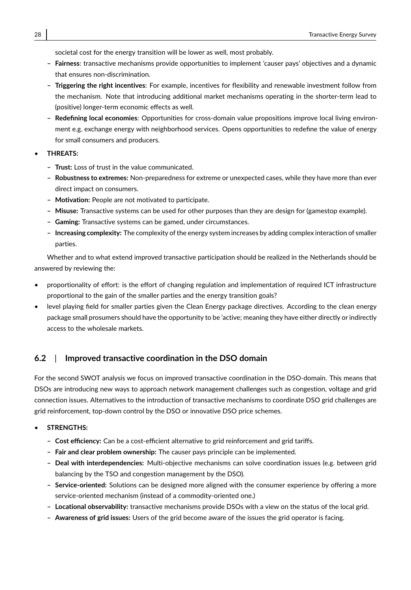societal cost for the energy transition will be lower as well, most probably.

- **– Fairness**: transactive mechanisms provide opportunities to implement 'causer pays' objectives and a dynamic that ensures non-discrimination.
- **– Triggering the right incentives**: For example, incentives for flexibility and renewable investment follow from the mechanism. Note that introducing additional market mechanisms operating in the shorter-term lead to (positive) longer-term economic effects as well.
- **– Redefining local economies**: Opportunities for cross-domain value propositions improve local living environment e.g. exchange energy with neighborhood services. Opens opportunities to redefine the value of energy for small consumers and producers.
- **THREATS:**
	- **– Trust:** Loss of trust in the value communicated.
	- **– Robustness to extremes:** Non-preparedness for extreme or unexpected cases, while they have more than ever direct impact on consumers.
	- **– Motivation:** People are not motivated to participate.
	- **– Misuse:** Transactive systems can be used for other purposes than they are design for (gamestop example).
	- **– Gaming:** Transactive systems can be gamed, under circumstances.
	- **– Increasing complexity:** The complexity of the energy system increases by adding complex interaction of smaller parties.

Whether and to what extend improved transactive participation should be realized in the Netherlands should be answered by reviewing the:

- proportionality of effort: is the effort of changing regulation and implementation of required ICT infrastructure proportional to the gain of the smaller parties and the energy transition goals?
- level playing field for smaller parties given the Clean Energy package directives. According to the clean energy package small prosumers should have the opportunity to be 'active; meaning they have either directly or indirectly access to the wholesale markets.

# **6.2** | **Improved transactive coordination in the DSO domain**

For the second SWOT analysis we focus on improved transactive coordination in the DSO-domain. This means that DSOs are introducing new ways to approach network management challenges such as congestion, voltage and grid connection issues. Alternatives to the introduction of transactive mechanisms to coordinate DSO grid challenges are grid reinforcement, top-down control by the DSO or innovative DSO price schemes.

#### • **STRENGTHS:**

- **– Cost efficiency:** Can be a cost-efficient alternative to grid reinforcement and grid tariffs.
- **– Fair and clear problem ownership:** The causer pays principle can be implemented.
- **– Deal with interdependencies:** Multi-objective mechanisms can solve coordination issues (e.g. between grid balancing by the TSO and congestion management by the DSO).
- **– Service-oriented:** Solutions can be designed more aligned with the consumer experience by offering a more service-oriented mechanism (instead of a commodity-oriented one.)
- **– Locational observability:** transactive mechanisms provide DSOs with a view on the status of the local grid.
- **– Awareness of grid issues:** Users of the grid become aware of the issues the grid operator is facing.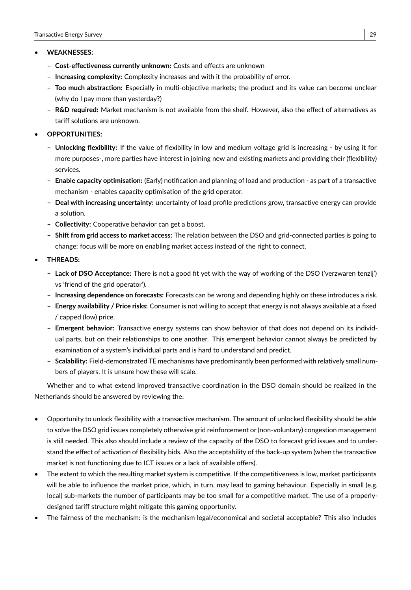#### • **WEAKNESSES:**

- **– Cost-effectiveness currently unknown:** Costs and effects are unknown
- **– Increasing complexity:** Complexity increases and with it the probability of error.
- **– Too much abstraction:** Especially in multi-objective markets; the product and its value can become unclear (why do I pay more than yesterday?)
- **– R&D required:** Market mechanism is not available from the shelf. However, also the effect of alternatives as tariff solutions are unknown.
- **OPPORTUNITIES:**
	- **– Unlocking flexibility:** If the value of flexibility in low and medium voltage grid is increasing by using it for more purposes-, more parties have interest in joining new and existing markets and providing their (flexibility) services.
	- **– Enable capacity optimisation:** (Early) notification and planning of load and production as part of a transactive mechanism - enables capacity optimisation of the grid operator.
	- **– Deal with increasing uncertainty:** uncertainty of load profile predictions grow, transactive energy can provide a solution.
	- **– Collectivity:** Cooperative behavior can get a boost.
	- **– Shift from grid access to market access:** The relation between the DSO and grid-connected parties is going to change: focus will be more on enabling market access instead of the right to connect.
- **THREADS:**
	- **– Lack of DSO Acceptance:** There is not a good fit yet with the way of working of the DSO ('verzwaren tenzij') vs 'friend of the grid operator').
	- **– Increasing dependence on forecasts:** Forecasts can be wrong and depending highly on these introduces a risk.
	- **– Energy availability / Price risks:** Consumer is not willing to accept that energy is not always available at a fixed / capped (low) price.
	- **– Emergent behavior:** Transactive energy systems can show behavior of that does not depend on its individual parts, but on their relationships to one another. This emergent behavior cannot always be predicted by examination of a system's individual parts and is hard to understand and predict.
	- **– Scalability:** Field-demonstrated TE mechanisms have predominantly been performed with relatively small numbers of players. It is unsure how these will scale.

Whether and to what extend improved transactive coordination in the DSO domain should be realized in the Netherlands should be answered by reviewing the:

- Opportunity to unlock flexibility with a transactive mechanism. The amount of unlocked flexibility should be able to solve the DSO grid issues completely otherwise grid reinforcement or (non-voluntary) congestion management is still needed. This also should include a review of the capacity of the DSO to forecast grid issues and to understand the effect of activation of flexibility bids. Also the acceptability of the back-up system (when the transactive market is not functioning due to ICT issues or a lack of available offers).
- The extent to which the resulting market system is competitive. If the competitiveness is low, market participants will be able to influence the market price, which, in turn, may lead to gaming behaviour. Especially in small (e.g. local) sub-markets the number of participants may be too small for a competitive market. The use of a properlydesigned tariff structure might mitigate this gaming opportunity.
- The fairness of the mechanism: is the mechanism legal/economical and societal acceptable? This also includes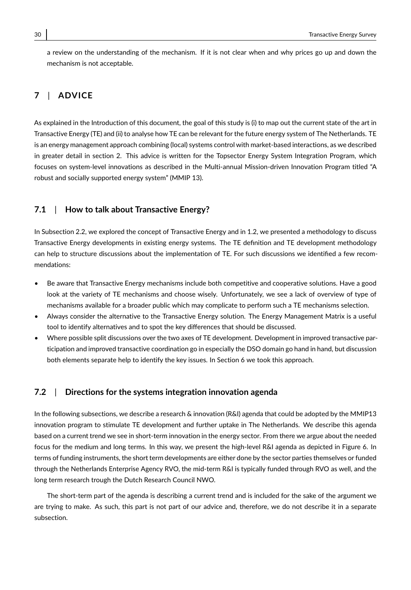a review on the understanding of the mechanism. If it is not clear when and why prices go up and down the mechanism is not acceptable.

# **7** | **ADVICE**

As explained in the Introduction of this document, the goal of this study is (i) to map out the current state of the art in Transactive Energy (TE) and (ii) to analyse how TE can be relevant for the future energy system of The Netherlands. TE is an energy management approach combining (local) systems control with market-based interactions, as we described in greater detail in section 2. This advice is written for the Topsector Energy System Integration Program, which focuses on system-level innovations as described in the Multi-annual Mission-driven Innovation Program titled "A robust and socially supported energy system" (MMIP 13).

# **7.1** | **How to talk about Transactive Energy?**

In Subsection 2.2, we explored the concept of Transactive Energy and in 1.2, we presented a methodology to discuss Transactive Energy developments in existing energy systems. The TE definition and TE development methodology can help to structure discussions about the implementation of TE. For such discussions we identified a few recommendations:

- Be aware that Transactive Energy mechanisms include both competitive and cooperative solutions. Have a good look at the variety of TE mechanisms and choose wisely. Unfortunately, we see a lack of overview of type of mechanisms available for a broader public which may complicate to perform such a TE mechanisms selection.
- Always consider the alternative to the Transactive Energy solution. The Energy Management Matrix is a useful tool to identify alternatives and to spot the key differences that should be discussed.
- Where possible split discussions over the two axes of TE development. Development in improved transactive participation and improved transactive coordination go in especially the DSO domain go hand in hand, but discussion both elements separate help to identify the key issues. In Section 6 we took this approach.

### **7.2** | **Directions for the systems integration innovation agenda**

In the following subsections, we describe a research & innovation (R&I) agenda that could be adopted by the MMIP13 innovation program to stimulate TE development and further uptake in The Netherlands. We describe this agenda based on a current trend we see in short-term innovation in the energy sector. From there we argue about the needed focus for the medium and long terms. In this way, we present the high-level R&I agenda as depicted in Figure 6. In terms of funding instruments, the short term developments are either done by the sector parties themselves or funded through the Netherlands Enterprise Agency RVO, the mid-term R&I is typically funded through RVO as well, and the long term research trough the Dutch Research Council NWO.

The short-term part of the agenda is describing a current trend and is included for the sake of the argument we are trying to make. As such, this part is not part of our advice and, therefore, we do not describe it in a separate subsection.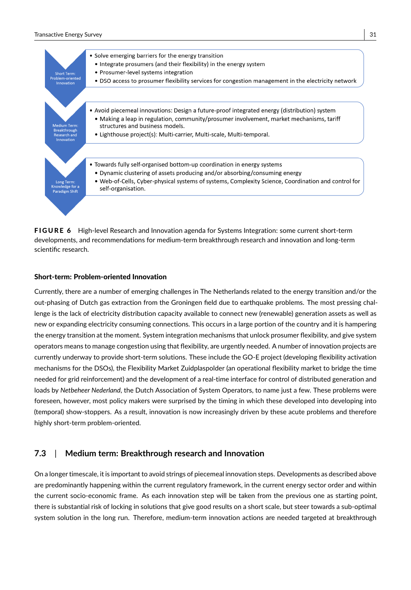#### Transactive Energy Survey 31



FIGURE 6 High-level Research and Innovation agenda for Systems Integration: some current short-term developments, and recommendations for medium-term breakthrough research and innovation and long-term scientific research.

#### Short-term: Problem-oriented Innovation

Currently, there are a number of emerging challenges in The Netherlands related to the energy transition and/or the out-phasing of Dutch gas extraction from the Groningen field due to earthquake problems. The most pressing challenge is the lack of electricity distribution capacity available to connect new (renewable) generation assets as well as new or expanding electricity consuming connections. This occurs in a large portion of the country and it is hampering the energy transition at the moment. System integration mechanisms that unlock prosumer flexibility, and give system operators means to manage congestion using that flexibility, are urgently needed. A number of innovation projects are currently underway to provide short-term solutions. These include the GO-E project (developing flexibility activation mechanisms for the DSOs), the Flexibility Market Zuidplaspolder (an operational flexibility market to bridge the time needed for grid reinforcement) and the development of a real-time interface for control of distributed generation and loads by *Netbeheer Nederland*, the Dutch Association of System Operators, to name just a few. These problems were foreseen, however, most policy makers were surprised by the timing in which these developed into developing into (temporal) show-stoppers. As a result, innovation is now increasingly driven by these acute problems and therefore highly short-term problem-oriented.

### **7.3** | **Medium term: Breakthrough research and Innovation**

On a longer timescale, it is important to avoid strings of piecemeal innovation steps. Developments as described above are predominantly happening within the current regulatory framework, in the current energy sector order and within the current socio-economic frame. As each innovation step will be taken from the previous one as starting point, there is substantial risk of locking in solutions that give good results on a short scale, but steer towards a sub-optimal system solution in the long run. Therefore, medium-term innovation actions are needed targeted at breakthrough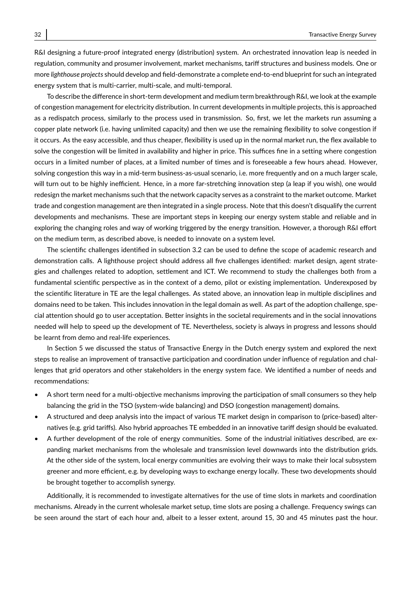R&I designing a future-proof integrated energy (distribution) system. An orchestrated innovation leap is needed in regulation, community and prosumer involvement, market mechanisms, tariff structures and business models. One or more *lighthouse projects* should develop and field-demonstrate a complete end-to-end blueprint for such an integrated energy system that is multi-carrier, multi-scale, and multi-temporal.

To describe the difference in short-term development and medium term breakthrough R&I, we look at the example of congestion management for electricity distribution. In current developments in multiple projects, this is approached as a redispatch process, similarly to the process used in transmission. So, first, we let the markets run assuming a copper plate network (i.e. having unlimited capacity) and then we use the remaining flexibility to solve congestion if it occurs. As the easy accessible, and thus cheaper, flexibility is used up in the normal market run, the flex available to solve the congestion will be limited in availability and higher in price. This suffices fine in a setting where congestion occurs in a limited number of places, at a limited number of times and is foreseeable a few hours ahead. However, solving congestion this way in a mid-term business-as-usual scenario, i.e. more frequently and on a much larger scale, will turn out to be highly inefficient. Hence, in a more far-stretching innovation step (a leap if you wish), one would redesign the market mechanisms such that the network capacity serves as a constraint to the market outcome. Market trade and congestion management are then integrated in a single process. Note that this doesn't disqualify the current developments and mechanisms. These are important steps in keeping our energy system stable and reliable and in exploring the changing roles and way of working triggered by the energy transition. However, a thorough R&I effort on the medium term, as described above, is needed to innovate on a system level.

The scientific challenges identified in subsection 3.2 can be used to define the scope of academic research and demonstration calls. A lighthouse project should address all five challenges identified: market design, agent strategies and challenges related to adoption, settlement and ICT. We recommend to study the challenges both from a fundamental scientific perspective as in the context of a demo, pilot or existing implementation. Underexposed by the scientific literature in TE are the legal challenges. As stated above, an innovation leap in multiple disciplines and domains need to be taken. This includes innovation in the legal domain as well. As part of the adoption challenge, special attention should go to user acceptation. Better insights in the societal requirements and in the social innovations needed will help to speed up the development of TE. Nevertheless, society is always in progress and lessons should be learnt from demo and real-life experiences.

In Section 5 we discussed the status of Transactive Energy in the Dutch energy system and explored the next steps to realise an improvement of transactive participation and coordination under influence of regulation and challenges that grid operators and other stakeholders in the energy system face. We identified a number of needs and recommendations:

- A short term need for a multi-objective mechanisms improving the participation of small consumers so they help balancing the grid in the TSO (system-wide balancing) and DSO (congestion management) domains.
- A structured and deep analysis into the impact of various TE market design in comparison to (price-based) alternatives (e.g. grid tariffs). Also hybrid approaches TE embedded in an innovative tariff design should be evaluated.
- A further development of the role of energy communities. Some of the industrial initiatives described, are expanding market mechanisms from the wholesale and transmission level downwards into the distribution grids. At the other side of the system, local energy communities are evolving their ways to make their local subsystem greener and more efficient, e.g. by developing ways to exchange energy locally. These two developments should be brought together to accomplish synergy.

Additionally, it is recommended to investigate alternatives for the use of time slots in markets and coordination mechanisms. Already in the current wholesale market setup, time slots are posing a challenge. Frequency swings can be seen around the start of each hour and, albeit to a lesser extent, around 15, 30 and 45 minutes past the hour.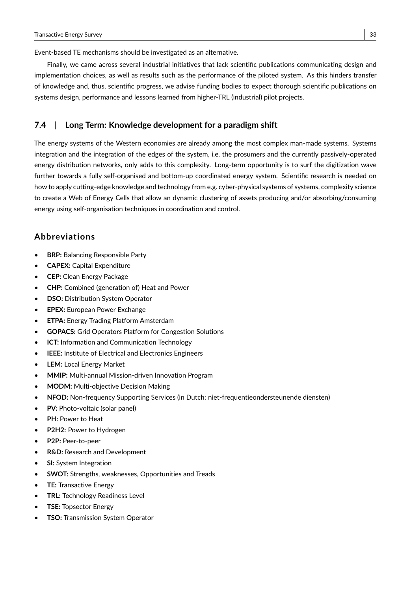Event-based TE mechanisms should be investigated as an alternative.

Finally, we came across several industrial initiatives that lack scientific publications communicating design and implementation choices, as well as results such as the performance of the piloted system. As this hinders transfer of knowledge and, thus, scientific progress, we advise funding bodies to expect thorough scientific publications on systems design, performance and lessons learned from higher-TRL (industrial) pilot projects.

### **7.4** | **Long Term: Knowledge development for a paradigm shift**

The energy systems of the Western economies are already among the most complex man-made systems. Systems integration and the integration of the edges of the system, i.e. the prosumers and the currently passively-operated energy distribution networks, only adds to this complexity. Long-term opportunity is to surf the digitization wave further towards a fully self-organised and bottom-up coordinated energy system. Scientific research is needed on how to apply cutting-edge knowledge and technology from e.g. cyber-physical systems of systems, complexity science to create a Web of Energy Cells that allow an dynamic clustering of assets producing and/or absorbing/consuming energy using self-organisation techniques in coordination and control.

### **Abbreviations**

- **BRP:** Balancing Responsible Party
- **CAPEX:** Capital Expenditure
- **CEP:** Clean Energy Package
- **CHP:** Combined (generation of) Heat and Power
- **DSO:** Distribution System Operator
- **EPEX:** European Power Exchange
- **ETPA:** Energy Trading Platform Amsterdam
- **GOPACS:** Grid Operators Platform for Congestion Solutions
- **ICT:** Information and Communication Technology
- **IEEE:** Institute of Electrical and Electronics Engineers
- **LEM:** Local Energy Market
- **MMIP:** Multi-annual Mission-driven Innovation Program
- **MODM:** Multi-objective Decision Making
- **NFOD:** Non-frequency Supporting Services (in Dutch: niet-frequentieondersteunende diensten)
- **PV:** Photo-voltaic (solar panel)
- **PH:** Power to Heat
- **P2H2:** Power to Hydrogen
- **P2P:** Peer-to-peer
- **R&D:** Research and Development
- **SI:** System Integration
- **SWOT:** Strengths, weaknesses, Opportunities and Treads
- **TE:** Transactive Energy
- **TRL:** Technology Readiness Level
- **TSE:** Topsector Energy
- **TSO:** Transmission System Operator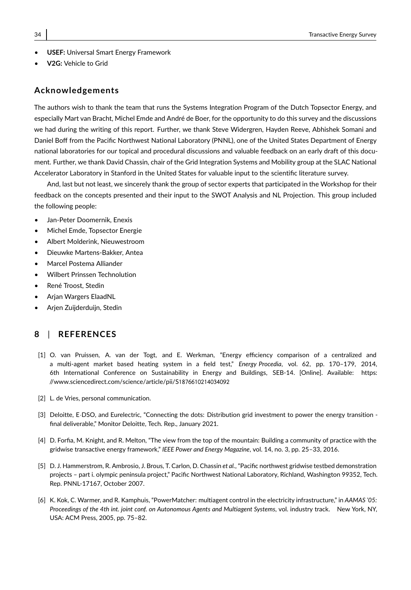- **USEF:** Universal Smart Energy Framework
- **V2G:** Vehicle to Grid

### **Acknowledgements**

The authors wish to thank the team that runs the Systems Integration Program of the Dutch Topsector Energy, and especially Mart van Bracht, Michel Emde and André de Boer, for the opportunity to do this survey and the discussions we had during the writing of this report. Further, we thank Steve Widergren, Hayden Reeve, Abhishek Somani and Daniel Boff from the Pacific Northwest National Laboratory (PNNL), one of the United States Department of Energy national laboratories for our topical and procedural discussions and valuable feedback on an early draft of this document. Further, we thank David Chassin, chair of the Grid Integration Systems and Mobility group at the SLAC National Accelerator Laboratory in Stanford in the United States for valuable input to the scientific literature survey.

And, last but not least, we sincerely thank the group of sector experts that participated in the Workshop for their feedback on the concepts presented and their input to the SWOT Analysis and NL Projection. This group included the following people:

- Jan-Peter Doomernik, Enexis
- Michel Emde, Topsector Energie
- Albert Molderink, Nieuwestroom
- Dieuwke Martens-Bakker, Antea
- Marcel Postema Alliander
- Wilbert Prinssen Technolution
- René Troost, Stedin
- Arjan Wargers ElaadNL
- Arjen Zuijderduijn, Stedin

### **8** | **REFERENCES**

- [1] O. van Pruissen, A. van der Togt, and E. Werkman, "Energy efficiency comparison of a centralized and a multi-agent market based heating system in a field test," *Energy Procedia*, vol. 62, pp. 170–179, 2014, 6th International Conference on Sustainability in Energy and Buildings, SEB-14. [Online]. Available: https: //www.sciencedirect.com/science/article/pii/S1876610214034092
- [2] L. de Vries, personal communication.
- [3] Deloitte, E·DSO, and Eurelectric, "Connecting the dots: Distribution grid investment to power the energy transition final deliverable," Monitor Deloitte, Tech. Rep., January 2021.
- [4] D. Forfia, M. Knight, and R. Melton, "The view from the top of the mountain: Building a community of practice with the gridwise transactive energy framework," *IEEE Power and Energy Magazine*, vol. 14, no. 3, pp. 25–33, 2016.
- [5] D. J. Hammerstrom, R. Ambrosio, J. Brous, T. Carlon, D. Chassin *et al.*, "Pacific northwest gridwise testbed demonstration projects – part i. olympic peninsula project," Pacific Northwest National Laboratory, Richland, Washington 99352, Tech. Rep. PNNL-17167, October 2007.
- [6] K. Kok, C. Warmer, and R. Kamphuis, "PowerMatcher: multiagent control in the electricity infrastructure," in *AAMAS '05: Proceedings of the 4th int. joint conf. on Autonomous Agents and Multiagent Systems*, vol. industry track. New York, NY, USA: ACM Press, 2005, pp. 75–82.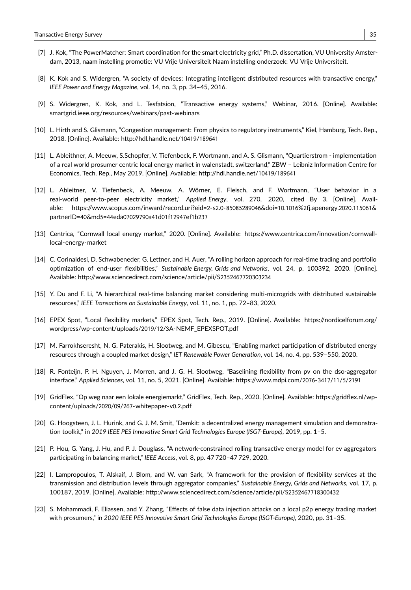- [7] J. Kok, "The PowerMatcher: Smart coordination for the smart electricity grid," Ph.D. dissertation, VU University Amsterdam, 2013, naam instelling promotie: VU Vrije Universiteit Naam instelling onderzoek: VU Vrije Universiteit.
- [8] K. Kok and S. Widergren, "A society of devices: Integrating intelligent distributed resources with transactive energy," *IEEE Power and Energy Magazine*, vol. 14, no. 3, pp. 34–45, 2016.
- [9] S. Widergren, K. Kok, and L. Tesfatsion, "Transactive energy systems," Webinar, 2016. [Online]. Available: smartgrid.ieee.org/resources/webinars/past-webinars
- [10] L. Hirth and S. Glismann, "Congestion management: From physics to regulatory instruments," Kiel, Hamburg, Tech. Rep., 2018. [Online]. Available: http://hdl.handle.net/10419/189641
- [11] L. Ableithner, A. Meeuw, S.Schopfer, V. Tiefenbeck, F. Wortmann, and A. S. Glismann, "Quartierstrom implementation of a real world prosumer centric local energy market in walenstadt, switzerland," ZBW – Leibniz Information Centre for Economics, Tech. Rep., May 2019. [Online]. Available: http://hdl.handle.net/10419/189641
- [12] L. Ableitner, V. Tiefenbeck, A. Meeuw, A. Wörner, E. Fleisch, and F. Wortmann, "User behavior in a real-world peer-to-peer electricity market," *Applied Energy*, vol. 270, 2020, cited By 3. [Online]. Available: https://www.scopus.com/inward/record.uri?eid=2-s2.0-85085289046&doi=10.1016%2fj.apenergy.2020.115061& partnerID=40&md5=44eda07029790a41d01f12947ef1b237
- [13] Centrica, "Cornwall local energy market," 2020. [Online]. Available: https://www.centrica.com/innovation/cornwalllocal-energy-market
- [14] C. Corinaldesi, D. Schwabeneder, G. Lettner, and H. Auer, "A rolling horizon approach for real-time trading and portfolio optimization of end-user flexibilities," *Sustainable Energy, Grids and Networks*, vol. 24, p. 100392, 2020. [Online]. Available: http://www.sciencedirect.com/science/article/pii/S2352467720303234
- [15] Y. Du and F. Li, "A hierarchical real-time balancing market considering multi-microgrids with distributed sustainable resources," *IEEE Transactions on Sustainable Energy*, vol. 11, no. 1, pp. 72–83, 2020.
- [16] EPEX Spot, "Local flexibility markets," EPEX Spot, Tech. Rep., 2019. [Online]. Available: https://nordicelforum.org/ wordpress/wp-content/uploads/2019/12/3A-NEMF\_EPEXSPOT.pdf
- [17] M. Farrokhseresht, N. G. Paterakis, H. Slootweg, and M. Gibescu, "Enabling market participation of distributed energy resources through a coupled market design," *IET Renewable Power Generation*, vol. 14, no. 4, pp. 539–550, 2020.
- [18] R. Fonteijn, P. H. Nguyen, J. Morren, and J. G. H. Slootweg, "Baselining flexibility from pv on the dso-aggregator interface," *Applied Sciences*, vol. 11, no. 5, 2021. [Online]. Available: https://www.mdpi.com/2076-3417/11/5/2191
- [19] GridFlex, "Op weg naar een lokale energiemarkt," GridFlex, Tech. Rep., 2020. [Online]. Available: https://gridflex.nl/wpcontent/uploads/2020/09/267-whitepaper-v0.2.pdf
- [20] G. Hoogsteen, J. L. Hurink, and G. J. M. Smit, "Demkit: a decentralized energy management simulation and demonstration toolkit," in *2019 IEEE PES Innovative Smart Grid Technologies Europe (ISGT-Europe)*, 2019, pp. 1–5.
- [21] P. Hou, G. Yang, J. Hu, and P. J. Douglass, "A network-constrained rolling transactive energy model for ev aggregators participating in balancing market," *IEEE Access*, vol. 8, pp. 47 720–47 729, 2020.
- [22] I. Lampropoulos, T. Alskaif, J. Blom, and W. van Sark, "A framework for the provision of flexibility services at the transmission and distribution levels through aggregator companies," *Sustainable Energy, Grids and Networks*, vol. 17, p. 100187, 2019. [Online]. Available: http://www.sciencedirect.com/science/article/pii/S2352467718300432
- [23] S. Mohammadi, F. Eliassen, and Y. Zhang, "Effects of false data injection attacks on a local p2p energy trading market with prosumers," in *2020 IEEE PES Innovative Smart Grid Technologies Europe (ISGT-Europe)*, 2020, pp. 31–35.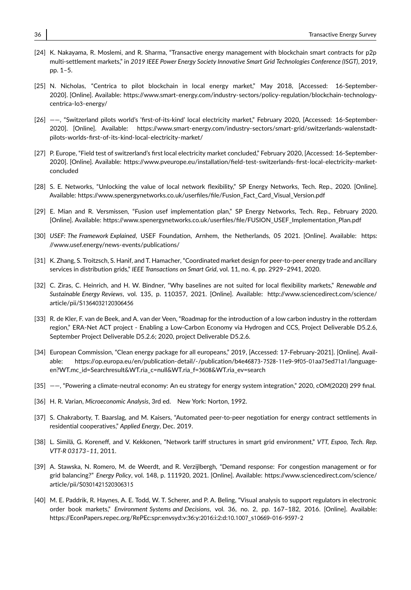- [24] K. Nakayama, R. Moslemi, and R. Sharma, "Transactive energy management with blockchain smart contracts for p2p multi-settlement markets," in *2019 IEEE Power Energy Society Innovative Smart Grid Technologies Conference (ISGT)*, 2019, pp. 1–5.
- [25] N. Nicholas, "Centrica to pilot blockchain in local energy market," May 2018, [Accessed: 16-September-2020]. [Online]. Available: https://www.smart-energy.com/industry-sectors/policy-regulation/blockchain-technologycentrica-lo3-energy/
- [26] ——, "Switzerland pilots world's 'first-of-its-kind' local electricity market," February 2020, [Accessed: 16-September-2020]. [Online]. Available: https://www.smart-energy.com/industry-sectors/smart-grid/switzerlands-walenstadtpilots-worlds-first-of-its-kind-local-electricity-market/
- [27] P. Europe, "Field test of switzerland's first local electricity market concluded," February 2020, [Accessed: 16-September-2020]. [Online]. Available: https://www.pveurope.eu/installation/field-test-switzerlands-first-local-electricity-marketconcluded
- [28] S. E. Networks, "Unlocking the value of local network flexibility," SP Energy Networks, Tech. Rep., 2020. [Online]. Available: https://www.spenergynetworks.co.uk/userfiles/file/Fusion\_Fact\_Card\_Visual\_Version.pdf
- [29] E. Mian and R. Versmissen, "Fusion usef implementation plan," SP Energy Networks, Tech. Rep., February 2020. [Online]. Available: https://www.spenergynetworks.co.uk/userfiles/file/FUSION\_USEF\_Implementation\_Plan.pdf
- [30] *USEF: The Framework Explained*, USEF Foundation, Arnhem, the Netherlands, 05 2021. [Online]. Available: https: //www.usef.energy/news-events/publications/
- [31] K. Zhang, S. Troitzsch, S. Hanif, and T. Hamacher, "Coordinated market design for peer-to-peer energy trade and ancillary services in distribution grids," *IEEE Transactions on Smart Grid*, vol. 11, no. 4, pp. 2929–2941, 2020.
- [32] C. Ziras, C. Heinrich, and H. W. Bindner, "Why baselines are not suited for local flexibility markets," *Renewable and Sustainable Energy Reviews*, vol. 135, p. 110357, 2021. [Online]. Available: http://www.sciencedirect.com/science/ article/pii/S1364032120306456
- [33] R. de Kler, F. van de Beek, and A. van der Veen, "Roadmap for the introduction of a low carbon industry in the rotterdam region," ERA-Net ACT project - Enabling a Low-Carbon Economy via Hydrogen and CCS, Project Deliverable D5.2.6, September Project Deliverable D5.2.6; 2020, project Deliverable D5.2.6.
- [34] European Commission, "Clean energy package for all europeans," 2019, [Accessed: 17-February-2021]. [Online]. Available: https://op.europa.eu/en/publication-detail/-/publication/b4e46873-7528-11e9-9f05-01aa75ed71a1/languageen?WT.mc\_id=Searchresult&WT.ria\_c=null&WT.ria\_f=3608&WT.ria\_ev=search
- [35] ——, "Powering a climate-neutral economy: An eu strategy for energy system integration," 2020, cOM(2020) 299 final.
- [36] H. R. Varian, *Microeconomic Analysis*, 3rd ed. New York: Norton, 1992.
- [37] S. Chakraborty, T. Baarslag, and M. Kaisers, "Automated peer-to-peer negotiation for energy contract settlements in residential cooperatives," *Applied Energy*, Dec. 2019.
- [38] L. Similä, G. Koreneff, and V. Kekkonen, "Network tariff structures in smart grid environment," *VTT, Espoo, Tech. Rep. VTT-R 03173–11*, 2011.
- [39] A. Stawska, N. Romero, M. de Weerdt, and R. Verzijlbergh, "Demand response: For congestion management or for grid balancing?" *Energy Policy*, vol. 148, p. 111920, 2021. [Online]. Available: https://www.sciencedirect.com/science/ article/pii/S0301421520306315
- [40] M. E. Paddrik, R. Haynes, A. E. Todd, W. T. Scherer, and P. A. Beling, "Visual analysis to support regulators in electronic order book markets," *Environment Systems and Decisions*, vol. 36, no. 2, pp. 167–182, 2016. [Online]. Available: https://EconPapers.repec.org/RePEc:spr:envsyd:v:36:y:2016:i:2:d:10.1007\_s10669-016-9597-2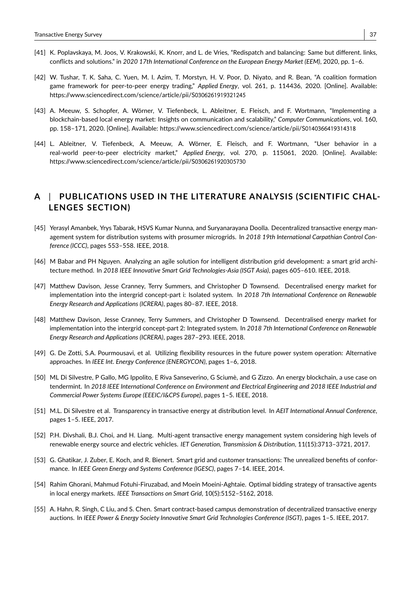- [41] K. Poplavskaya, M. Joos, V. Krakowski, K. Knorr, and L. de Vries, "Redispatch and balancing: Same but different. links, conflicts and solutions." in *2020 17th International Conference on the European Energy Market (EEM)*, 2020, pp. 1–6.
- [42] W. Tushar, T. K. Saha, C. Yuen, M. I. Azim, T. Morstyn, H. V. Poor, D. Niyato, and R. Bean, "A coalition formation game framework for peer-to-peer energy trading," *Applied Energy*, vol. 261, p. 114436, 2020. [Online]. Available: https://www.sciencedirect.com/science/article/pii/S0306261919321245
- [43] A. Meeuw, S. Schopfer, A. Wörner, V. Tiefenbeck, L. Ableitner, E. Fleisch, and F. Wortmann, "Implementing a blockchain-based local energy market: Insights on communication and scalability," *Computer Communications*, vol. 160, pp. 158–171, 2020. [Online]. Available: https://www.sciencedirect.com/science/article/pii/S0140366419314318
- [44] L. Ableitner, V. Tiefenbeck, A. Meeuw, A. Wörner, E. Fleisch, and F. Wortmann, "User behavior in a real-world peer-to-peer electricity market," *Applied Energy*, vol. 270, p. 115061, 2020. [Online]. Available: https://www.sciencedirect.com/science/article/pii/S0306261920305730

# **A** | **PUBLICATIONS USED IN THE LITERATURE ANALYSIS (SCIENTIFIC CHAL-LENGES SECTION)**

- [45] Yerasyl Amanbek, Yrys Tabarak, HSVS Kumar Nunna, and Suryanarayana Doolla. Decentralized transactive energy management system for distribution systems with prosumer microgrids. In *2018 19th International Carpathian Control Conference (ICCC)*, pages 553–558. IEEE, 2018.
- [46] M Babar and PH Nguyen. Analyzing an agile solution for intelligent distribution grid development: a smart grid architecture method. In *2018 IEEE Innovative Smart Grid Technologies-Asia (ISGT Asia)*, pages 605–610. IEEE, 2018.
- [47] Matthew Davison, Jesse Cranney, Terry Summers, and Christopher D Townsend. Decentralised energy market for implementation into the intergrid concept-part i: Isolated system. In *2018 7th International Conference on Renewable Energy Research and Applications (ICRERA)*, pages 80–87. IEEE, 2018.
- [48] Matthew Davison, Jesse Cranney, Terry Summers, and Christopher D Townsend. Decentralised energy market for implementation into the intergrid concept-part 2: Integrated system. In *2018 7th International Conference on Renewable Energy Research and Applications (ICRERA)*, pages 287–293. IEEE, 2018.
- [49] G. De Zotti, S.A. Pourmousavi, et al. Utilizing flexibility resources in the future power system operation: Alternative approaches. In *IEEE Int. Energy Conference (ENERGYCON)*, pages 1–6, 2018.
- [50] ML Di Silvestre, P Gallo, MG Ippolito, E Riva Sanseverino, G Sciumè, and G Zizzo. An energy blockchain, a use case on tendermint. In *2018 IEEE International Conference on Environment and Electrical Engineering and 2018 IEEE Industrial and Commercial Power Systems Europe (EEEIC/I&CPS Europe)*, pages 1–5. IEEE, 2018.
- [51] M.L. Di Silvestre et al. Transparency in transactive energy at distribution level. In *AEIT International Annual Conference*, pages 1–5. IEEE, 2017.
- [52] P.H. Divshali, B.J. Choi, and H. Liang. Multi-agent transactive energy management system considering high levels of renewable energy source and electric vehicles. *IET Generation, Transmission & Distribution*, 11(15):3713–3721, 2017.
- [53] G. Ghatikar, J. Zuber, E. Koch, and R. Bienert. Smart grid and customer transactions: The unrealized benefits of conformance. In *IEEE Green Energy and Systems Conference (IGESC)*, pages 7–14. IEEE, 2014.
- [54] Rahim Ghorani, Mahmud Fotuhi-Firuzabad, and Moein Moeini-Aghtaie. Optimal bidding strategy of transactive agents in local energy markets. *IEEE Transactions on Smart Grid*, 10(5):5152–5162, 2018.
- [55] A. Hahn, R. Singh, C Liu, and S. Chen. Smart contract-based campus demonstration of decentralized transactive energy auctions. In *IEEE Power & Energy Society Innovative Smart Grid Technologies Conference (ISGT)*, pages 1–5. IEEE, 2017.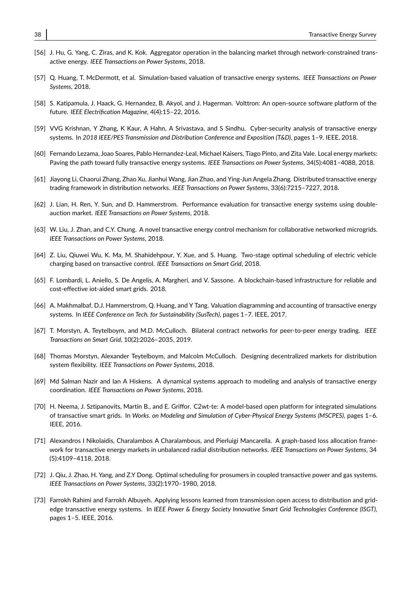- [56] J. Hu, G. Yang, C. Ziras, and K. Kok. Aggregator operation in the balancing market through network-constrained transactive energy. *IEEE Transactions on Power Systems*, 2018.
- [57] Q. Huang, T. McDermott, et al. Simulation-based valuation of transactive energy systems. *IEEE Transactions on Power Systems*, 2018.
- [58] S. Katipamula, J. Haack, G. Hernandez, B. Akyol, and J. Hagerman. Volttron: An open-source software platform of the future. *IEEE Electrification Magazine*, 4(4):15–22, 2016.
- [59] VVG Krishnan, Y Zhang, K Kaur, A Hahn, A Srivastava, and S Sindhu. Cyber-security analysis of transactive energy systems. In *2018 IEEE/PES Transmission and Distribution Conference and Exposition (T&D)*, pages 1–9. IEEE, 2018.
- [60] Fernando Lezama, Joao Soares, Pablo Hernandez-Leal, Michael Kaisers, Tiago Pinto, and Zita Vale. Local energy markets: Paving the path toward fully transactive energy systems. *IEEE Transactions on Power Systems*, 34(5):4081–4088, 2018.
- [61] Jiayong Li, Chaorui Zhang, Zhao Xu, Jianhui Wang, Jian Zhao, and Ying-Jun Angela Zhang. Distributed transactive energy trading framework in distribution networks. *IEEE Transactions on Power Systems*, 33(6):7215–7227, 2018.
- [62] J. Lian, H. Ren, Y. Sun, and D. Hammerstrom. Performance evaluation for transactive energy systems using doubleauction market. *IEEE Transactions on Power Systems*, 2018.
- [63] W. Liu, J. Zhan, and C.Y. Chung. A novel transactive energy control mechanism for collaborative networked microgrids. *IEEE Transactions on Power Systems*, 2018.
- [64] Z. Liu, Qiuwei Wu, K. Ma, M. Shahidehpour, Y. Xue, and S. Huang. Two-stage optimal scheduling of electric vehicle charging based on transactive control. *IEEE Transactions on Smart Grid*, 2018.
- [65] F. Lombardi, L. Aniello, S. De Angelis, A. Margheri, and V. Sassone. A blockchain-based infrastructure for reliable and cost-effective iot-aided smart grids. 2018.
- [66] A. Makhmalbaf, D.J. Hammerstrom, Q. Huang, and Y Tang. Valuation diagramming and accounting of transactive energy systems. In *IEEE Conference on Tech. for Sustainability (SusTech)*, pages 1–7. IEEE, 2017.
- [67] T. Morstyn, A. Teytelboym, and M.D. McCulloch. Bilateral contract networks for peer-to-peer energy trading. *IEEE Transactions on Smart Grid*, 10(2):2026–2035, 2019.
- [68] Thomas Morstyn, Alexander Teytelboym, and Malcolm McCulloch. Designing decentralized markets for distribution system flexibility. *IEEE Transactions on Power Systems*, 2018.
- [69] Md Salman Nazir and Ian A Hiskens. A dynamical systems approach to modeling and analysis of transactive energy coordination. *IEEE Transactions on Power Systems*, 2018.
- [70] H. Neema, J. Sztipanovits, Martin B., and E. Griffor. C2wt-te: A model-based open platform for integrated simulations of transactive smart grids. In *Works. on Modeling and Simulation of Cyber-Physical Energy Systems (MSCPES)*, pages 1–6. IEEE, 2016.
- [71] Alexandros I Nikolaidis, Charalambos A Charalambous, and Pierluigi Mancarella. A graph-based loss allocation framework for transactive energy markets in unbalanced radial distribution networks. *IEEE Transactions on Power Systems*, 34 (5):4109–4118, 2018.
- [72] J. Qiu, J. Zhao, H. Yang, and Z.Y Dong. Optimal scheduling for prosumers in coupled transactive power and gas systems. *IEEE Transactions on Power Systems*, 33(2):1970–1980, 2018.
- [73] Farrokh Rahimi and Farrokh Albuyeh. Applying lessons learned from transmission open access to distribution and gridedge transactive energy systems. In *IEEE Power & Energy Society Innovative Smart Grid Technologies Conference (ISGT)*, pages 1–5. IEEE, 2016.